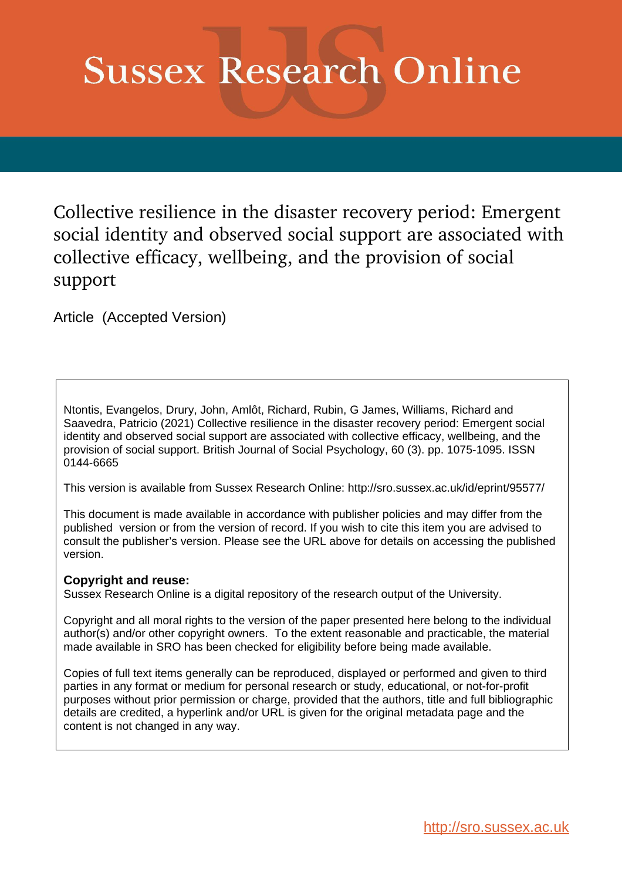# **Sussex Research Online**

Collective resilience in the disaster recovery period: Emergent social identity and observed social support are associated with collective efficacy, wellbeing, and the provision of social support

Article (Accepted Version)

Ntontis, Evangelos, Drury, John, Amlôt, Richard, Rubin, G James, Williams, Richard and Saavedra, Patricio (2021) Collective resilience in the disaster recovery period: Emergent social identity and observed social support are associated with collective efficacy, wellbeing, and the provision of social support. British Journal of Social Psychology, 60 (3). pp. 1075-1095. ISSN 0144-6665

This version is available from Sussex Research Online: http://sro.sussex.ac.uk/id/eprint/95577/

This document is made available in accordance with publisher policies and may differ from the published version or from the version of record. If you wish to cite this item you are advised to consult the publisher's version. Please see the URL above for details on accessing the published version.

# **Copyright and reuse:**

Sussex Research Online is a digital repository of the research output of the University.

Copyright and all moral rights to the version of the paper presented here belong to the individual author(s) and/or other copyright owners. To the extent reasonable and practicable, the material made available in SRO has been checked for eligibility before being made available.

Copies of full text items generally can be reproduced, displayed or performed and given to third parties in any format or medium for personal research or study, educational, or not-for-profit purposes without prior permission or charge, provided that the authors, title and full bibliographic details are credited, a hyperlink and/or URL is given for the original metadata page and the content is not changed in any way.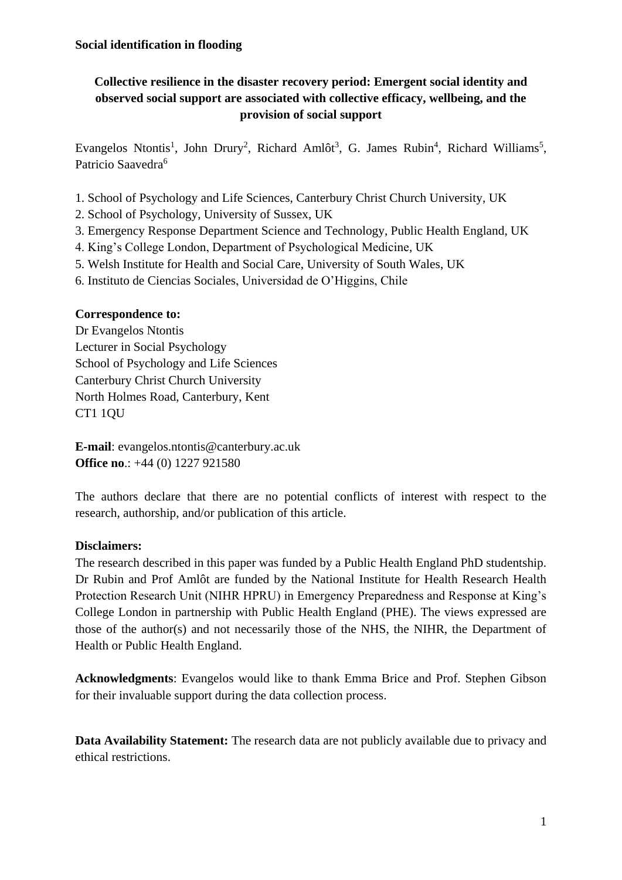# **Collective resilience in the disaster recovery period: Emergent social identity and observed social support are associated with collective efficacy, wellbeing, and the provision of social support**

Evangelos Ntontis<sup>1</sup>, John Drury<sup>2</sup>, Richard Amlôt<sup>3</sup>, G. James Rubin<sup>4</sup>, Richard Williams<sup>5</sup>, Patricio Saavedra<sup>6</sup>

- 1. School of Psychology and Life Sciences, Canterbury Christ Church University, UK
- 2. School of Psychology, University of Sussex, UK
- 3. Emergency Response Department Science and Technology, Public Health England, UK
- 4. King's College London, Department of Psychological Medicine, UK
- 5. Welsh Institute for Health and Social Care, University of South Wales, UK
- 6. Instituto de Ciencias Sociales, Universidad de O'Higgins, Chile

# **Correspondence to:**

Dr Evangelos Ntontis Lecturer in Social Psychology School of Psychology and Life Sciences Canterbury Christ Church University North Holmes Road, Canterbury, Kent CT1 1QU

**E-mail**: evangelos.ntontis@canterbury.ac.uk **Office no**.: +44 (0) 1227 921580

The authors declare that there are no potential conflicts of interest with respect to the research, authorship, and/or publication of this article.

# **Disclaimers:**

The research described in this paper was funded by a Public Health England PhD studentship. Dr Rubin and Prof Amlôt are funded by the National Institute for Health Research Health Protection Research Unit (NIHR HPRU) in Emergency Preparedness and Response at King's College London in partnership with Public Health England (PHE). The views expressed are those of the author(s) and not necessarily those of the NHS, the NIHR, the Department of Health or Public Health England.

**Acknowledgments**: Evangelos would like to thank Emma Brice and Prof. Stephen Gibson for their invaluable support during the data collection process.

**Data Availability Statement:** The research data are not publicly available due to privacy and ethical restrictions.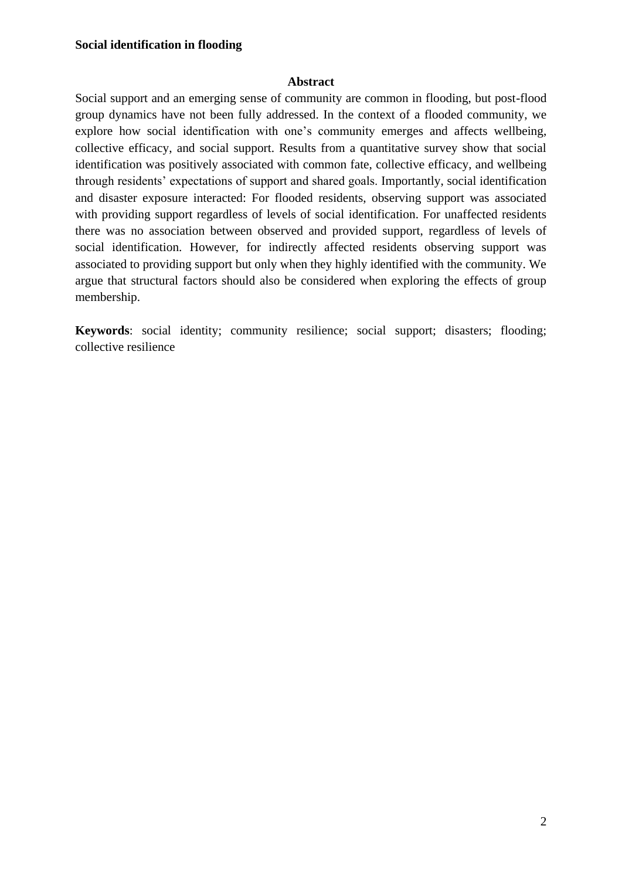#### **Abstract**

Social support and an emerging sense of community are common in flooding, but post-flood group dynamics have not been fully addressed. In the context of a flooded community, we explore how social identification with one's community emerges and affects wellbeing, collective efficacy, and social support. Results from a quantitative survey show that social identification was positively associated with common fate, collective efficacy, and wellbeing through residents' expectations of support and shared goals. Importantly, social identification and disaster exposure interacted: For flooded residents, observing support was associated with providing support regardless of levels of social identification. For unaffected residents there was no association between observed and provided support, regardless of levels of social identification. However, for indirectly affected residents observing support was associated to providing support but only when they highly identified with the community. We argue that structural factors should also be considered when exploring the effects of group membership.

**Keywords**: social identity; community resilience; social support; disasters; flooding; collective resilience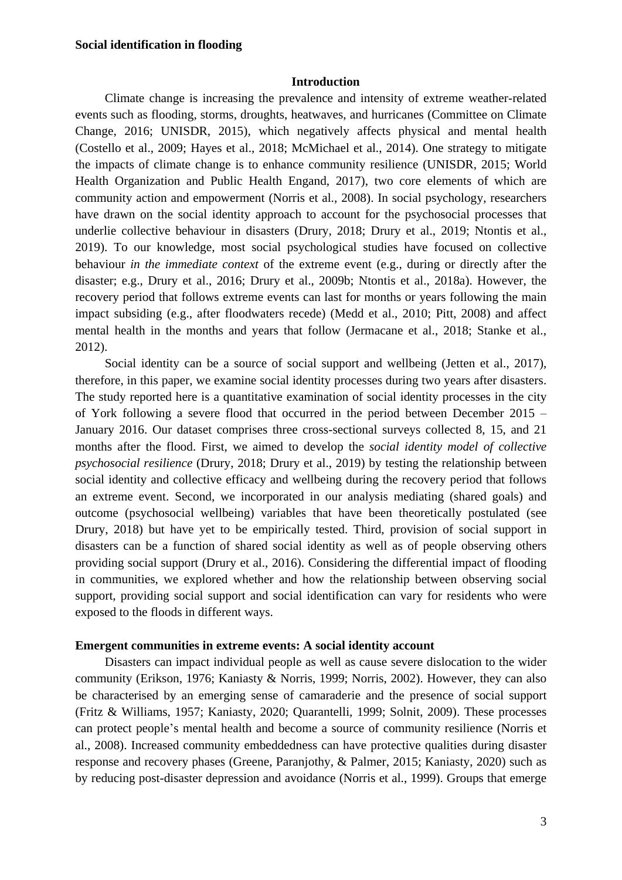#### **Introduction**

Climate change is increasing the prevalence and intensity of extreme weather-related events such as flooding, storms, droughts, heatwaves, and hurricanes (Committee on Climate Change, 2016; UNISDR, 2015), which negatively affects physical and mental health (Costello et al., 2009; Hayes et al., 2018; McMichael et al., 2014). One strategy to mitigate the impacts of climate change is to enhance community resilience (UNISDR, 2015; World Health Organization and Public Health Engand, 2017), two core elements of which are community action and empowerment (Norris et al., 2008). In social psychology, researchers have drawn on the social identity approach to account for the psychosocial processes that underlie collective behaviour in disasters (Drury, 2018; Drury et al., 2019; Ntontis et al., 2019). To our knowledge, most social psychological studies have focused on collective behaviour *in the immediate context* of the extreme event (e.g., during or directly after the disaster; e.g., Drury et al., 2016; Drury et al., 2009b; Ntontis et al., 2018a). However, the recovery period that follows extreme events can last for months or years following the main impact subsiding (e.g., after floodwaters recede) (Medd et al., 2010; Pitt, 2008) and affect mental health in the months and years that follow (Jermacane et al., 2018; Stanke et al., 2012).

Social identity can be a source of social support and wellbeing (Jetten et al., 2017). therefore, in this paper, we examine social identity processes during two years after disasters. The study reported here is a quantitative examination of social identity processes in the city of York following a severe flood that occurred in the period between December 2015 – January 2016. Our dataset comprises three cross-sectional surveys collected 8, 15, and 21 months after the flood. First, we aimed to develop the *social identity model of collective psychosocial resilience* (Drury, 2018; Drury et al., 2019) by testing the relationship between social identity and collective efficacy and wellbeing during the recovery period that follows an extreme event. Second, we incorporated in our analysis mediating (shared goals) and outcome (psychosocial wellbeing) variables that have been theoretically postulated (see Drury, 2018) but have yet to be empirically tested. Third, provision of social support in disasters can be a function of shared social identity as well as of people observing others providing social support (Drury et al., 2016). Considering the differential impact of flooding in communities, we explored whether and how the relationship between observing social support, providing social support and social identification can vary for residents who were exposed to the floods in different ways.

#### **Emergent communities in extreme events: A social identity account**

Disasters can impact individual people as well as cause severe dislocation to the wider community (Erikson, 1976; Kaniasty & Norris, 1999; Norris, 2002). However, they can also be characterised by an emerging sense of camaraderie and the presence of social support (Fritz & Williams, 1957; Kaniasty, 2020; Quarantelli, 1999; Solnit, 2009). These processes can protect people's mental health and become a source of community resilience (Norris et al., 2008). Increased community embeddedness can have protective qualities during disaster response and recovery phases (Greene, Paranjothy, & Palmer, 2015; Kaniasty, 2020) such as by reducing post-disaster depression and avoidance (Norris et al., 1999). Groups that emerge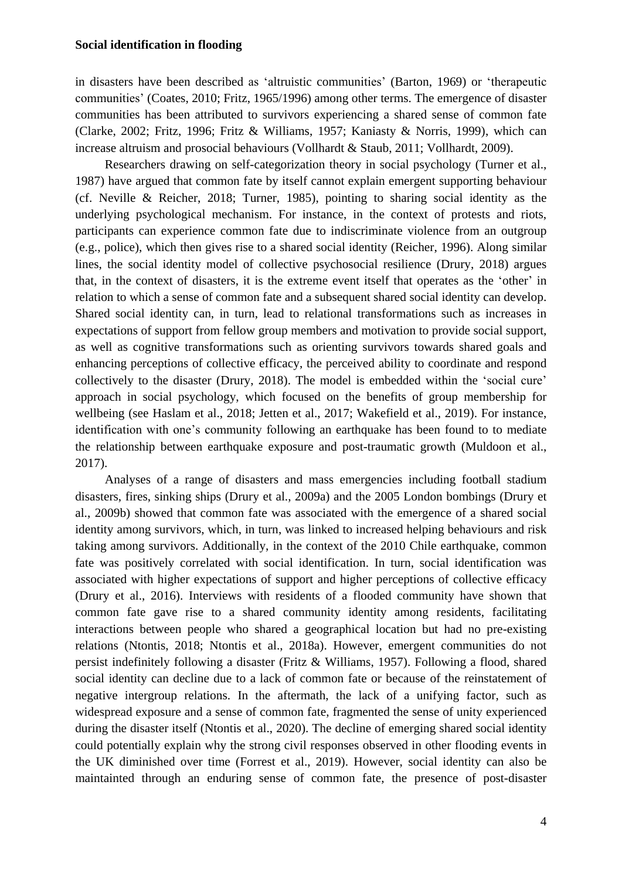in disasters have been described as 'altruistic communities' (Barton, 1969) or 'therapeutic communities' (Coates, 2010; Fritz, 1965/1996) among other terms. The emergence of disaster communities has been attributed to survivors experiencing a shared sense of common fate (Clarke, 2002; Fritz, 1996; Fritz & Williams, 1957; Kaniasty & Norris, 1999), which can increase altruism and prosocial behaviours (Vollhardt & Staub, 2011; Vollhardt, 2009).

Researchers drawing on self-categorization theory in social psychology (Turner et al., 1987) have argued that common fate by itself cannot explain emergent supporting behaviour (cf. Neville & Reicher, 2018; Turner, 1985), pointing to sharing social identity as the underlying psychological mechanism. For instance, in the context of protests and riots, participants can experience common fate due to indiscriminate violence from an outgroup (e.g., police), which then gives rise to a shared social identity (Reicher, 1996). Along similar lines, the social identity model of collective psychosocial resilience (Drury, 2018) argues that, in the context of disasters, it is the extreme event itself that operates as the 'other' in relation to which a sense of common fate and a subsequent shared social identity can develop. Shared social identity can, in turn, lead to relational transformations such as increases in expectations of support from fellow group members and motivation to provide social support, as well as cognitive transformations such as orienting survivors towards shared goals and enhancing perceptions of collective efficacy, the perceived ability to coordinate and respond collectively to the disaster (Drury, 2018). The model is embedded within the 'social cure' approach in social psychology, which focused on the benefits of group membership for wellbeing (see Haslam et al., 2018; Jetten et al., 2017; Wakefield et al., 2019). For instance, identification with one's community following an earthquake has been found to to mediate the relationship between earthquake exposure and post-traumatic growth (Muldoon et al., 2017).

Analyses of a range of disasters and mass emergencies including football stadium disasters, fires, sinking ships (Drury et al., 2009a) and the 2005 London bombings (Drury et al., 2009b) showed that common fate was associated with the emergence of a shared social identity among survivors, which, in turn, was linked to increased helping behaviours and risk taking among survivors. Additionally, in the context of the 2010 Chile earthquake, common fate was positively correlated with social identification. In turn, social identification was associated with higher expectations of support and higher perceptions of collective efficacy (Drury et al., 2016). Interviews with residents of a flooded community have shown that common fate gave rise to a shared community identity among residents, facilitating interactions between people who shared a geographical location but had no pre-existing relations (Ntontis, 2018; Ntontis et al., 2018a). However, emergent communities do not persist indefinitely following a disaster (Fritz & Williams, 1957). Following a flood, shared social identity can decline due to a lack of common fate or because of the reinstatement of negative intergroup relations. In the aftermath, the lack of a unifying factor, such as widespread exposure and a sense of common fate, fragmented the sense of unity experienced during the disaster itself (Ntontis et al., 2020). The decline of emerging shared social identity could potentially explain why the strong civil responses observed in other flooding events in the UK diminished over time (Forrest et al., 2019). However, social identity can also be maintainted through an enduring sense of common fate, the presence of post-disaster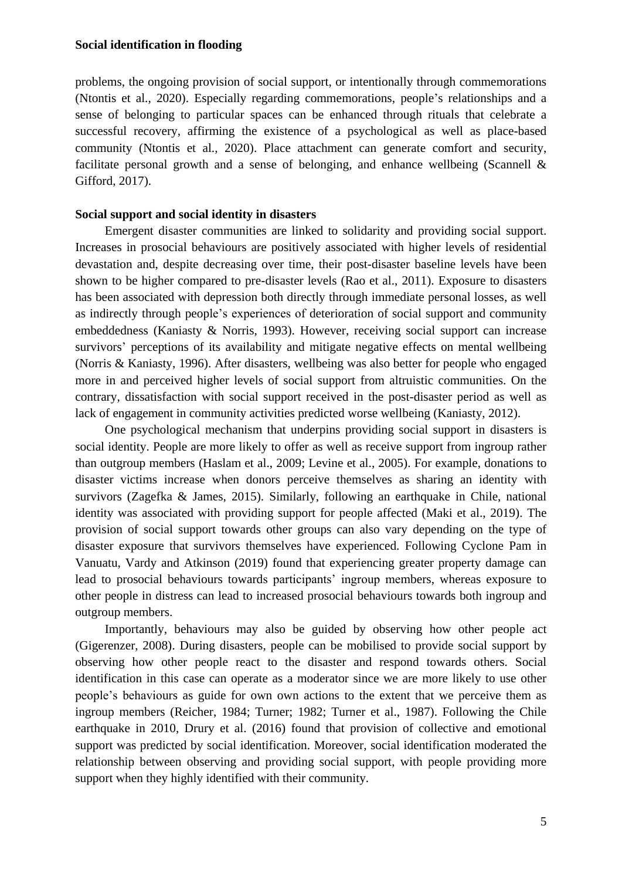problems, the ongoing provision of social support, or intentionally through commemorations (Ntontis et al., 2020). Especially regarding commemorations, people's relationships and a sense of belonging to particular spaces can be enhanced through rituals that celebrate a successful recovery, affirming the existence of a psychological as well as place-based community (Ntontis et al., 2020). Place attachment can generate comfort and security, facilitate personal growth and a sense of belonging, and enhance wellbeing (Scannell  $\&$ Gifford, 2017).

## **Social support and social identity in disasters**

Emergent disaster communities are linked to solidarity and providing social support. Increases in prosocial behaviours are positively associated with higher levels of residential devastation and, despite decreasing over time, their post-disaster baseline levels have been shown to be higher compared to pre-disaster levels (Rao et al., 2011). Exposure to disasters has been associated with depression both directly through immediate personal losses, as well as indirectly through people's experiences of deterioration of social support and community embeddedness (Kaniasty & Norris, 1993). However, receiving social support can increase survivors' perceptions of its availability and mitigate negative effects on mental wellbeing (Norris & Kaniasty, 1996). After disasters, wellbeing was also better for people who engaged more in and perceived higher levels of social support from altruistic communities. On the contrary, dissatisfaction with social support received in the post-disaster period as well as lack of engagement in community activities predicted worse wellbeing (Kaniasty, 2012).

One psychological mechanism that underpins providing social support in disasters is social identity. People are more likely to offer as well as receive support from ingroup rather than outgroup members (Haslam et al., 2009; Levine et al., 2005). For example, donations to disaster victims increase when donors perceive themselves as sharing an identity with survivors (Zagefka & James, 2015). Similarly, following an earthquake in Chile, national identity was associated with providing support for people affected (Maki et al., 2019). The provision of social support towards other groups can also vary depending on the type of disaster exposure that survivors themselves have experienced. Following Cyclone Pam in Vanuatu, Vardy and Atkinson (2019) found that experiencing greater property damage can lead to prosocial behaviours towards participants' ingroup members, whereas exposure to other people in distress can lead to increased prosocial behaviours towards both ingroup and outgroup members.

Importantly, behaviours may also be guided by observing how other people act (Gigerenzer, 2008). During disasters, people can be mobilised to provide social support by observing how other people react to the disaster and respond towards others. Social identification in this case can operate as a moderator since we are more likely to use other people's behaviours as guide for own own actions to the extent that we perceive them as ingroup members (Reicher, 1984; Turner; 1982; Turner et al., 1987). Following the Chile earthquake in 2010, Drury et al. (2016) found that provision of collective and emotional support was predicted by social identification. Moreover, social identification moderated the relationship between observing and providing social support, with people providing more support when they highly identified with their community.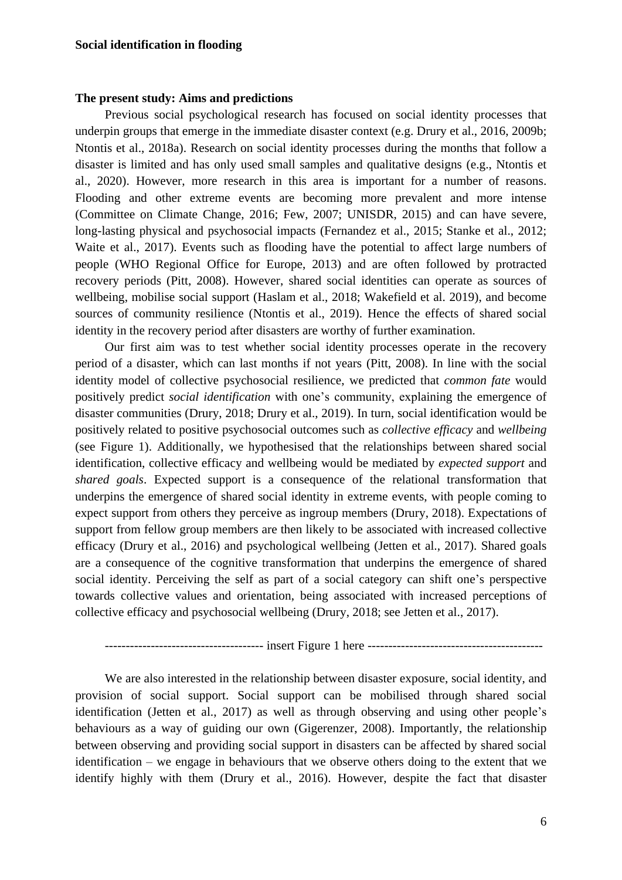# **The present study: Aims and predictions**

Previous social psychological research has focused on social identity processes that underpin groups that emerge in the immediate disaster context (e.g. Drury et al., 2016, 2009b; Ntontis et al., 2018a). Research on social identity processes during the months that follow a disaster is limited and has only used small samples and qualitative designs (e.g., Ntontis et al., 2020). However, more research in this area is important for a number of reasons. Flooding and other extreme events are becoming more prevalent and more intense (Committee on Climate Change, 2016; Few, 2007; UNISDR, 2015) and can have severe, long-lasting physical and psychosocial impacts (Fernandez et al., 2015; Stanke et al., 2012; Waite et al., 2017). Events such as flooding have the potential to affect large numbers of people (WHO Regional Office for Europe, 2013) and are often followed by protracted recovery periods (Pitt, 2008). However, shared social identities can operate as sources of wellbeing, mobilise social support (Haslam et al., 2018; Wakefield et al. 2019), and become sources of community resilience (Ntontis et al., 2019). Hence the effects of shared social identity in the recovery period after disasters are worthy of further examination.

Our first aim was to test whether social identity processes operate in the recovery period of a disaster, which can last months if not years (Pitt, 2008). In line with the social identity model of collective psychosocial resilience, we predicted that *common fate* would positively predict *social identification* with one's community, explaining the emergence of disaster communities (Drury, 2018; Drury et al., 2019). In turn, social identification would be positively related to positive psychosocial outcomes such as *collective efficacy* and *wellbeing* (see Figure 1). Additionally, we hypothesised that the relationships between shared social identification, collective efficacy and wellbeing would be mediated by *expected support* and *shared goals*. Expected support is a consequence of the relational transformation that underpins the emergence of shared social identity in extreme events, with people coming to expect support from others they perceive as ingroup members (Drury, 2018). Expectations of support from fellow group members are then likely to be associated with increased collective efficacy (Drury et al., 2016) and psychological wellbeing (Jetten et al., 2017). Shared goals are a consequence of the cognitive transformation that underpins the emergence of shared social identity. Perceiving the self as part of a social category can shift one's perspective towards collective values and orientation, being associated with increased perceptions of collective efficacy and psychosocial wellbeing (Drury, 2018; see Jetten et al., 2017).

-------------------------------------- insert Figure 1 here ------------------------------------------

We are also interested in the relationship between disaster exposure, social identity, and provision of social support. Social support can be mobilised through shared social identification (Jetten et al., 2017) as well as through observing and using other people's behaviours as a way of guiding our own (Gigerenzer, 2008). Importantly, the relationship between observing and providing social support in disasters can be affected by shared social identification – we engage in behaviours that we observe others doing to the extent that we identify highly with them (Drury et al., 2016). However, despite the fact that disaster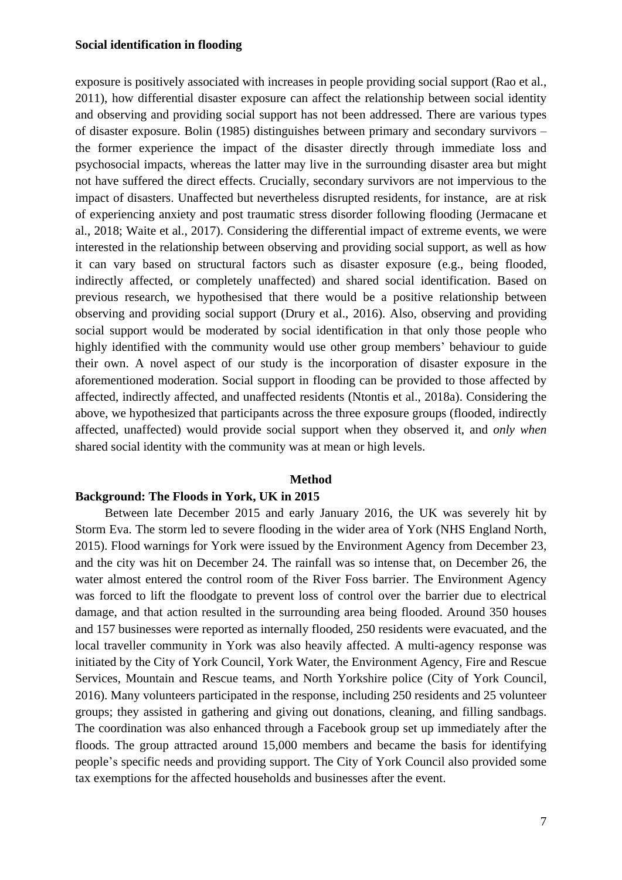exposure is positively associated with increases in people providing social support (Rao et al., 2011), how differential disaster exposure can affect the relationship between social identity and observing and providing social support has not been addressed. There are various types of disaster exposure. Bolin (1985) distinguishes between primary and secondary survivors – the former experience the impact of the disaster directly through immediate loss and psychosocial impacts, whereas the latter may live in the surrounding disaster area but might not have suffered the direct effects. Crucially, secondary survivors are not impervious to the impact of disasters. Unaffected but nevertheless disrupted residents, for instance, are at risk of experiencing anxiety and post traumatic stress disorder following flooding (Jermacane et al., 2018; Waite et al., 2017). Considering the differential impact of extreme events, we were interested in the relationship between observing and providing social support, as well as how it can vary based on structural factors such as disaster exposure (e.g., being flooded, indirectly affected, or completely unaffected) and shared social identification. Based on previous research, we hypothesised that there would be a positive relationship between observing and providing social support (Drury et al., 2016). Also, observing and providing social support would be moderated by social identification in that only those people who highly identified with the community would use other group members' behaviour to guide their own. A novel aspect of our study is the incorporation of disaster exposure in the aforementioned moderation. Social support in flooding can be provided to those affected by affected, indirectly affected, and unaffected residents (Ntontis et al., 2018a). Considering the above, we hypothesized that participants across the three exposure groups (flooded, indirectly affected, unaffected) would provide social support when they observed it, and *only when* shared social identity with the community was at mean or high levels.

#### **Method**

## **Background: The Floods in York, UK in 2015**

Between late December 2015 and early January 2016, the UK was severely hit by Storm Eva. The storm led to severe flooding in the wider area of York (NHS England North, 2015). Flood warnings for York were issued by the Environment Agency from December 23, and the city was hit on December 24. The rainfall was so intense that, on December 26, the water almost entered the control room of the River Foss barrier. The Environment Agency was forced to lift the floodgate to prevent loss of control over the barrier due to electrical damage, and that action resulted in the surrounding area being flooded. Around 350 houses and 157 businesses were reported as internally flooded, 250 residents were evacuated, and the local traveller community in York was also heavily affected. A multi-agency response was initiated by the City of York Council, York Water, the Environment Agency, Fire and Rescue Services, Mountain and Rescue teams, and North Yorkshire police (City of York Council, 2016). Many volunteers participated in the response, including 250 residents and 25 volunteer groups; they assisted in gathering and giving out donations, cleaning, and filling sandbags. The coordination was also enhanced through a Facebook group set up immediately after the floods. The group attracted around 15,000 members and became the basis for identifying people's specific needs and providing support. The City of York Council also provided some tax exemptions for the affected households and businesses after the event.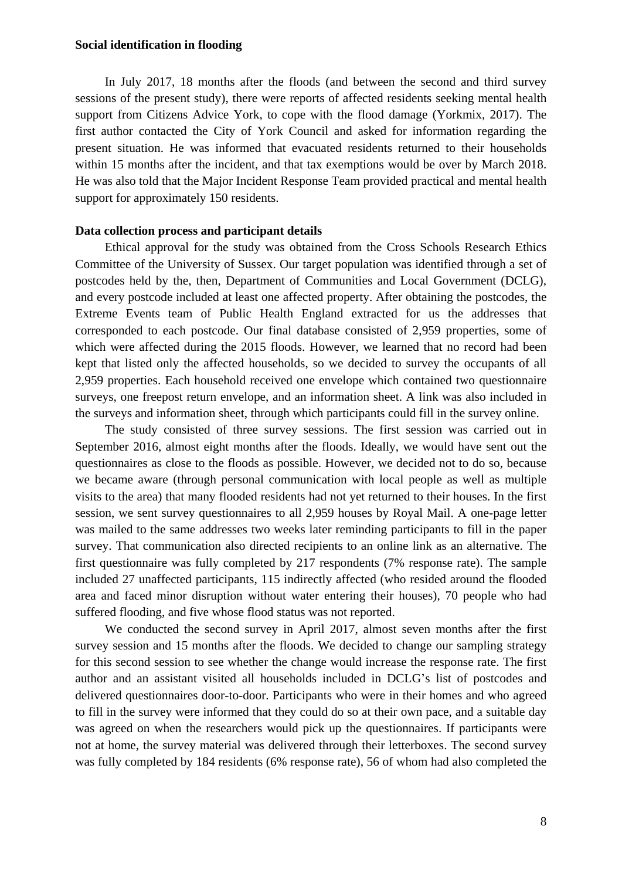In July 2017, 18 months after the floods (and between the second and third survey sessions of the present study), there were reports of affected residents seeking mental health support from Citizens Advice York, to cope with the flood damage (Yorkmix, 2017). The first author contacted the City of York Council and asked for information regarding the present situation. He was informed that evacuated residents returned to their households within 15 months after the incident, and that tax exemptions would be over by March 2018. He was also told that the Major Incident Response Team provided practical and mental health support for approximately 150 residents.

#### **Data collection process and participant details**

Ethical approval for the study was obtained from the Cross Schools Research Ethics Committee of the University of Sussex. Our target population was identified through a set of postcodes held by the, then, Department of Communities and Local Government (DCLG), and every postcode included at least one affected property. After obtaining the postcodes, the Extreme Events team of Public Health England extracted for us the addresses that corresponded to each postcode. Our final database consisted of 2,959 properties, some of which were affected during the 2015 floods. However, we learned that no record had been kept that listed only the affected households, so we decided to survey the occupants of all 2,959 properties. Each household received one envelope which contained two questionnaire surveys, one freepost return envelope, and an information sheet. A link was also included in the surveys and information sheet, through which participants could fill in the survey online.

The study consisted of three survey sessions. The first session was carried out in September 2016, almost eight months after the floods. Ideally, we would have sent out the questionnaires as close to the floods as possible. However, we decided not to do so, because we became aware (through personal communication with local people as well as multiple visits to the area) that many flooded residents had not yet returned to their houses. In the first session, we sent survey questionnaires to all 2,959 houses by Royal Mail. A one-page letter was mailed to the same addresses two weeks later reminding participants to fill in the paper survey. That communication also directed recipients to an online link as an alternative. The first questionnaire was fully completed by 217 respondents (7% response rate). The sample included 27 unaffected participants, 115 indirectly affected (who resided around the flooded area and faced minor disruption without water entering their houses), 70 people who had suffered flooding, and five whose flood status was not reported.

We conducted the second survey in April 2017, almost seven months after the first survey session and 15 months after the floods. We decided to change our sampling strategy for this second session to see whether the change would increase the response rate. The first author and an assistant visited all households included in DCLG's list of postcodes and delivered questionnaires door-to-door. Participants who were in their homes and who agreed to fill in the survey were informed that they could do so at their own pace, and a suitable day was agreed on when the researchers would pick up the questionnaires. If participants were not at home, the survey material was delivered through their letterboxes. The second survey was fully completed by 184 residents (6% response rate), 56 of whom had also completed the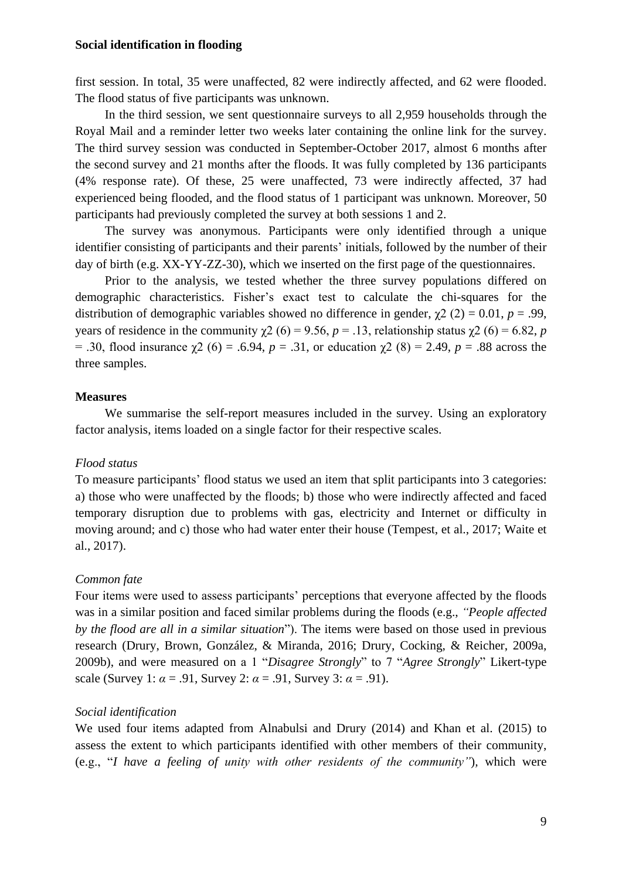first session. In total, 35 were unaffected, 82 were indirectly affected, and 62 were flooded. The flood status of five participants was unknown.

In the third session, we sent questionnaire surveys to all 2,959 households through the Royal Mail and a reminder letter two weeks later containing the online link for the survey. The third survey session was conducted in September-October 2017, almost 6 months after the second survey and 21 months after the floods. It was fully completed by 136 participants (4% response rate). Of these, 25 were unaffected, 73 were indirectly affected, 37 had experienced being flooded, and the flood status of 1 participant was unknown. Moreover, 50 participants had previously completed the survey at both sessions 1 and 2.

The survey was anonymous. Participants were only identified through a unique identifier consisting of participants and their parents' initials, followed by the number of their day of birth (e.g. XX-YY-ZZ-30), which we inserted on the first page of the questionnaires.

Prior to the analysis, we tested whether the three survey populations differed on demographic characteristics. Fisher's exact test to calculate the chi-squares for the distribution of demographic variables showed no difference in gender,  $\chi^2$  (2) = 0.01, *p* = .99, years of residence in the community  $\gamma$ 2 (6) = 9.56, *p* = .13, relationship status  $\gamma$ 2 (6) = 6.82, *p* = .30, flood insurance χ2 (6) = .6.94, *p* = .31, or education χ2 (8) = 2.49, *p* = .88 across the three samples.

#### **Measures**

We summarise the self-report measures included in the survey. Using an exploratory factor analysis, items loaded on a single factor for their respective scales.

#### *Flood status*

To measure participants' flood status we used an item that split participants into 3 categories: a) those who were unaffected by the floods; b) those who were indirectly affected and faced temporary disruption due to problems with gas, electricity and Internet or difficulty in moving around; and c) those who had water enter their house (Tempest, et al., 2017; Waite et al., 2017).

#### *Common fate*

Four items were used to assess participants' perceptions that everyone affected by the floods was in a similar position and faced similar problems during the floods (e.g., *"People affected by the flood are all in a similar situation*"). The items were based on those used in previous research (Drury, Brown, González, & Miranda, 2016; Drury, Cocking, & Reicher, 2009a, 2009b), and were measured on a 1 "*Disagree Strongly*" to 7 "*Agree Strongly*" Likert-type scale (Survey 1:  $\alpha$  = .91, Survey 2:  $\alpha$  = .91, Survey 3:  $\alpha$  = .91).

#### *Social identification*

We used four items adapted from Alnabulsi and Drury (2014) and Khan et al. (2015) to assess the extent to which participants identified with other members of their community, (e.g., "*I have a feeling of unity with other residents of the community"*)*,* which were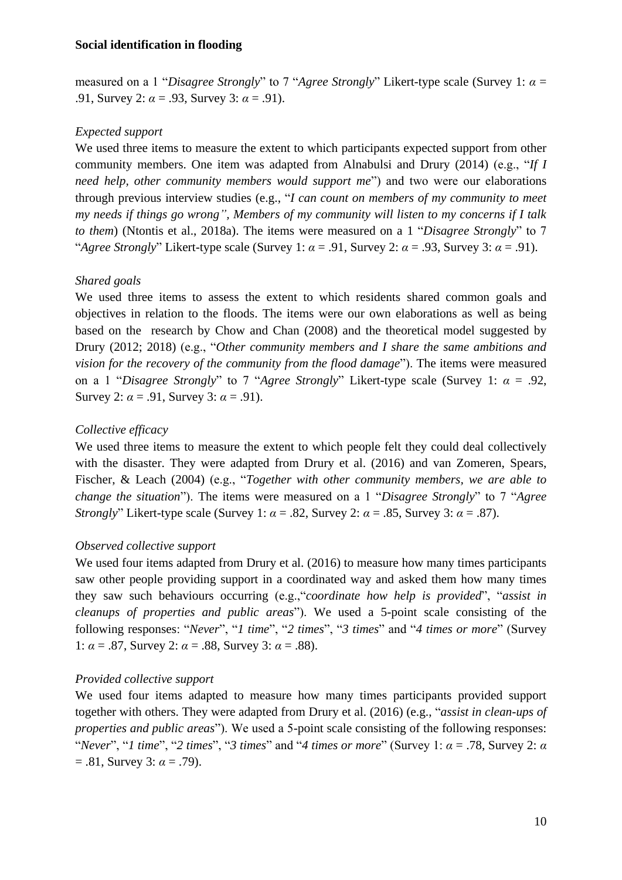measured on a 1 "*Disagree Strongly*" to 7 "*Agree Strongly*" Likert-type scale (Survey 1: *α* = .91, Survey 2: *α* = .93, Survey 3: *α* = .91).

# *Expected support*

We used three items to measure the extent to which participants expected support from other community members. One item was adapted from Alnabulsi and Drury (2014) (e.g., "*If I need help, other community members would support me*") and two were our elaborations through previous interview studies (e.g., "*I can count on members of my community to meet my needs if things go wrong", Members of my community will listen to my concerns if I talk to them*) (Ntontis et al., 2018a). The items were measured on a 1 "*Disagree Strongly*" to 7 "*Agree Strongly*" Likert-type scale (Survey 1:  $\alpha$  = .91, Survey 2:  $\alpha$  = .93, Survey 3:  $\alpha$  = .91).

# *Shared goals*

We used three items to assess the extent to which residents shared common goals and objectives in relation to the floods. The items were our own elaborations as well as being based on the research by Chow and Chan (2008) and the theoretical model suggested by Drury (2012; 2018) (e.g., "*Other community members and I share the same ambitions and vision for the recovery of the community from the flood damage*"). The items were measured on a 1 "*Disagree Strongly*" to 7 "*Agree Strongly*" Likert-type scale (Survey 1: *α* = .92, Survey 2:  $\alpha$  = .91, Survey 3:  $\alpha$  = .91).

# *Collective efficacy*

We used three items to measure the extent to which people felt they could deal collectively with the disaster. They were adapted from Drury et al. (2016) and van Zomeren, Spears, Fischer, & Leach (2004) (e.g., "*Together with other community members, we are able to change the situation*"). The items were measured on a 1 "*Disagree Strongly*" to 7 "*Agree Strongly*" Likert-type scale (Survey 1:  $\alpha$  = .82, Survey 2:  $\alpha$  = .85, Survey 3:  $\alpha$  = .87).

# *Observed collective support*

We used four items adapted from Drury et al. (2016) to measure how many times participants saw other people providing support in a coordinated way and asked them how many times they saw such behaviours occurring (e.g.,"*coordinate how help is provided*", "*assist in cleanups of properties and public areas*"). We used a 5-point scale consisting of the following responses: "*Never*", "*1 time*", "*2 times*", "*3 times*" and "*4 times or more*" (Survey 1:  $\alpha = .87$ , Survey 2:  $\alpha = .88$ , Survey 3:  $\alpha = .88$ ).

# *Provided collective support*

We used four items adapted to measure how many times participants provided support together with others. They were adapted from Drury et al. (2016) (e.g., "*assist in clean-ups of properties and public areas*"). We used a 5-point scale consisting of the following responses: "*Never*", "*1 time*", "2 *times*", "3 *times*" and "4 *times or more*" (Survey 1:  $\alpha$  = .78, Survey 2:  $\alpha$  $= .81$ , Survey 3:  $\alpha = .79$ ).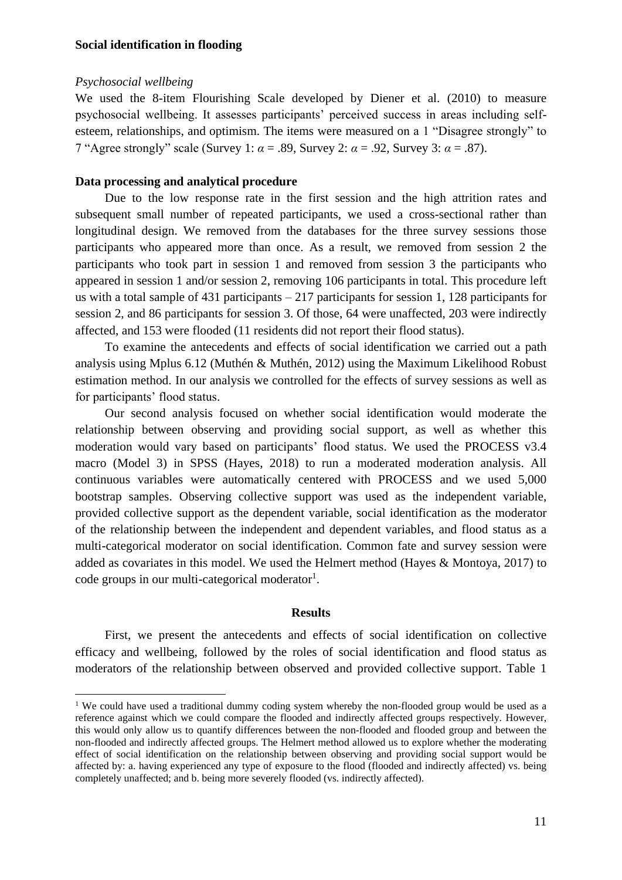#### *Psychosocial wellbeing*

1

We used the 8-item Flourishing Scale developed by Diener et al. (2010) to measure psychosocial wellbeing. It assesses participants' perceived success in areas including selfesteem, relationships, and optimism. The items were measured on a 1 "Disagree strongly" to 7 "Agree strongly" scale (Survey 1: *α* = .89, Survey 2: *α* = .92, Survey 3: *α* = .87).

#### **Data processing and analytical procedure**

Due to the low response rate in the first session and the high attrition rates and subsequent small number of repeated participants, we used a cross-sectional rather than longitudinal design. We removed from the databases for the three survey sessions those participants who appeared more than once. As a result, we removed from session 2 the participants who took part in session 1 and removed from session 3 the participants who appeared in session 1 and/or session 2, removing 106 participants in total. This procedure left us with a total sample of 431 participants – 217 participants for session 1, 128 participants for session 2, and 86 participants for session 3. Of those, 64 were unaffected, 203 were indirectly affected, and 153 were flooded (11 residents did not report their flood status).

To examine the antecedents and effects of social identification we carried out a path analysis using Mplus 6.12 (Muthén & Muthén, 2012) using the Maximum Likelihood Robust estimation method. In our analysis we controlled for the effects of survey sessions as well as for participants' flood status.

Our second analysis focused on whether social identification would moderate the relationship between observing and providing social support, as well as whether this moderation would vary based on participants' flood status. We used the PROCESS v3.4 macro (Model 3) in SPSS (Hayes, 2018) to run a moderated moderation analysis. All continuous variables were automatically centered with PROCESS and we used 5,000 bootstrap samples. Observing collective support was used as the independent variable, provided collective support as the dependent variable, social identification as the moderator of the relationship between the independent and dependent variables, and flood status as a multi-categorical moderator on social identification. Common fate and survey session were added as covariates in this model. We used the Helmert method (Hayes & Montoya, 2017) to code groups in our multi-categorical moderator<sup>1</sup>.

#### **Results**

First, we present the antecedents and effects of social identification on collective efficacy and wellbeing, followed by the roles of social identification and flood status as moderators of the relationship between observed and provided collective support. Table 1

<sup>&</sup>lt;sup>1</sup> We could have used a traditional dummy coding system whereby the non-flooded group would be used as a reference against which we could compare the flooded and indirectly affected groups respectively. However, this would only allow us to quantify differences between the non-flooded and flooded group and between the non-flooded and indirectly affected groups. The Helmert method allowed us to explore whether the moderating effect of social identification on the relationship between observing and providing social support would be affected by: a. having experienced any type of exposure to the flood (flooded and indirectly affected) vs. being completely unaffected; and b. being more severely flooded (vs. indirectly affected).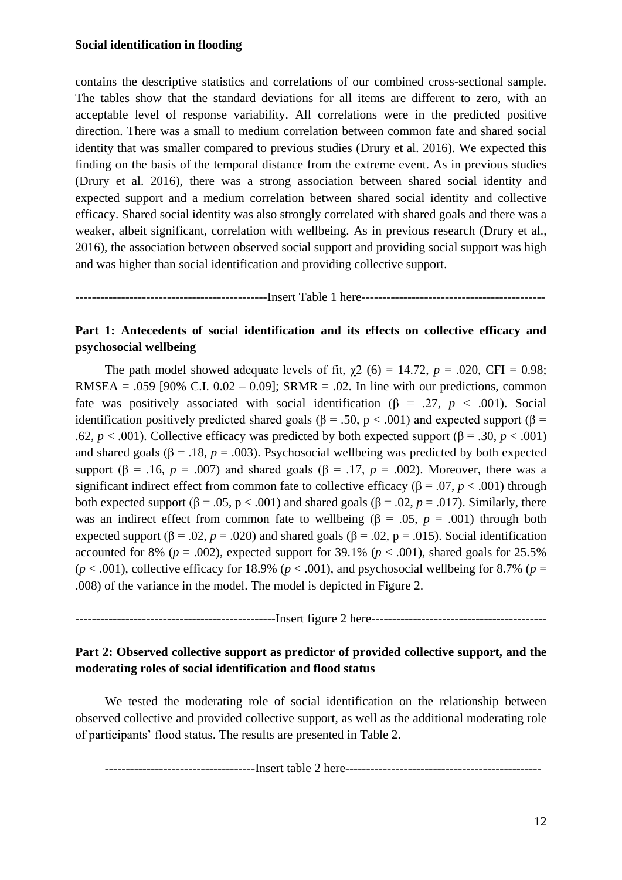contains the descriptive statistics and correlations of our combined cross-sectional sample. The tables show that the standard deviations for all items are different to zero, with an acceptable level of response variability. All correlations were in the predicted positive direction. There was a small to medium correlation between common fate and shared social identity that was smaller compared to previous studies (Drury et al. 2016). We expected this finding on the basis of the temporal distance from the extreme event. As in previous studies (Drury et al. 2016), there was a strong association between shared social identity and expected support and a medium correlation between shared social identity and collective efficacy. Shared social identity was also strongly correlated with shared goals and there was a weaker, albeit significant, correlation with wellbeing. As in previous research (Drury et al., 2016), the association between observed social support and providing social support was high and was higher than social identification and providing collective support.

----------------------------------------------Insert Table 1 here--------------------------------------------

# **Part 1: Antecedents of social identification and its effects on collective efficacy and psychosocial wellbeing**

The path model showed adequate levels of fit,  $\chi$ 2 (6) = 14.72, *p* = .020, CFI = 0.98; RMSEA = .059 [90% C.I.  $0.02 - 0.09$ ]; SRMR = .02. In line with our predictions, common fate was positively associated with social identification ( $\beta$  = .27, *p* < .001). Social identification positively predicted shared goals (β = .50, p < .001) and expected support (β = .62,  $p < .001$ ). Collective efficacy was predicted by both expected support ( $\beta = .30$ ,  $p < .001$ ) and shared goals ( $\beta$  = .18, *p* = .003). Psychosocial wellbeing was predicted by both expected support ( $\beta$  = .16, *p* = .007) and shared goals ( $\beta$  = .17, *p* = .002). Moreover, there was a significant indirect effect from common fate to collective efficacy ( $\beta$  = .07, *p* < .001) through both expected support (β = .05, p < .001) and shared goals (β = .02, p = .017). Similarly, there was an indirect effect from common fate to wellbeing ( $\beta = .05$ ,  $p = .001$ ) through both expected support ( $\beta$  = .02, *p* = .020) and shared goals ( $\beta$  = .02, p = .015). Social identification accounted for 8% ( $p = .002$ ), expected support for 39.1% ( $p < .001$ ), shared goals for 25.5%  $(p < .001)$ , collective efficacy for 18.9% ( $p < .001$ ), and psychosocial wellbeing for 8.7% ( $p =$ .008) of the variance in the model. The model is depicted in Figure 2.

------------------------------------------------Insert figure 2 here------------------------------------------

# **Part 2: Observed collective support as predictor of provided collective support, and the moderating roles of social identification and flood status**

We tested the moderating role of social identification on the relationship between observed collective and provided collective support, as well as the additional moderating role of participants' flood status. The results are presented in Table 2.

------------------------------------Insert table 2 here-----------------------------------------------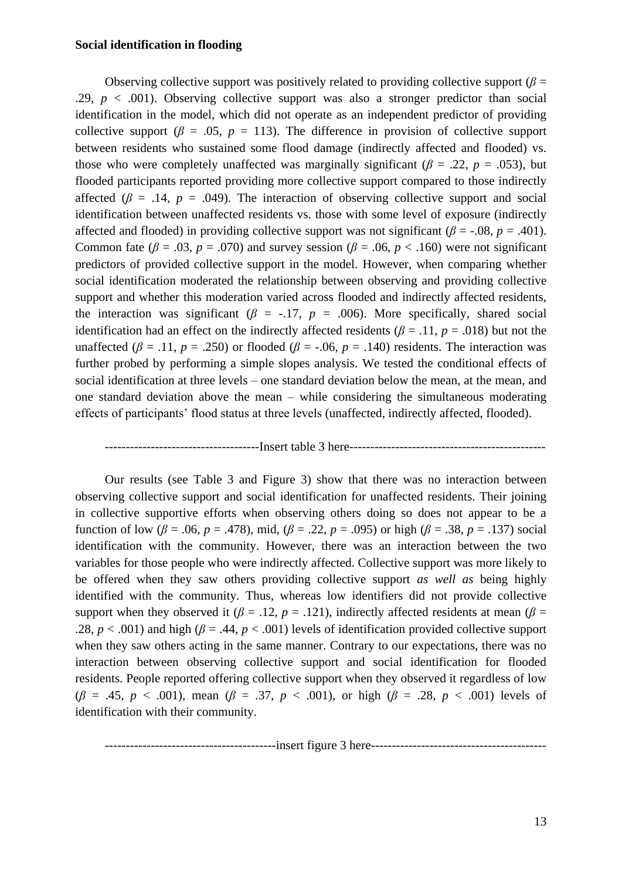Observing collective support was positively related to providing collective support ( $\beta$  = .29,  $p < .001$ ). Observing collective support was also a stronger predictor than social identification in the model, which did not operate as an independent predictor of providing collective support ( $\beta$  = .05,  $p = 113$ ). The difference in provision of collective support between residents who sustained some flood damage (indirectly affected and flooded) vs. those who were completely unaffected was marginally significant ( $\beta$  = .22, *p* = .053), but flooded participants reported providing more collective support compared to those indirectly affected ( $\beta$  = .14,  $p$  = .049). The interaction of observing collective support and social identification between unaffected residents vs. those with some level of exposure (indirectly affected and flooded) in providing collective support was not significant ( $\beta$  = -.08, *p* = .401). Common fate ( $\beta$  = .03, *p* = .070) and survey session ( $\beta$  = .06, *p* < .160) were not significant predictors of provided collective support in the model. However, when comparing whether social identification moderated the relationship between observing and providing collective support and whether this moderation varied across flooded and indirectly affected residents, the interaction was significant ( $\beta$  = -.17,  $p$  = .006). More specifically, shared social identification had an effect on the indirectly affected residents ( $\beta$  = .11,  $p$  = .018) but not the unaffected ( $\beta$  = .11,  $p = .250$ ) or flooded ( $\beta$  = -.06,  $p = .140$ ) residents. The interaction was further probed by performing a simple slopes analysis. We tested the conditional effects of social identification at three levels – one standard deviation below the mean, at the mean, and one standard deviation above the mean – while considering the simultaneous moderating effects of participants' flood status at three levels (unaffected, indirectly affected, flooded).

#### -------------------------------------Insert table 3 here-----------------------------------------------

Our results (see Table 3 and Figure 3) show that there was no interaction between observing collective support and social identification for unaffected residents. Their joining in collective supportive efforts when observing others doing so does not appear to be a function of low ( $\beta$  = .06,  $p$  = .478), mid, ( $\beta$  = .22,  $p$  = .095) or high ( $\beta$  = .38,  $p$  = .137) social identification with the community. However, there was an interaction between the two variables for those people who were indirectly affected. Collective support was more likely to be offered when they saw others providing collective support *as well as* being highly identified with the community. Thus, whereas low identifiers did not provide collective support when they observed it ( $\beta = .12$ ,  $p = .121$ ), indirectly affected residents at mean ( $\beta =$ .28,  $p < .001$ ) and high ( $\beta = .44$ ,  $p < .001$ ) levels of identification provided collective support when they saw others acting in the same manner. Contrary to our expectations, there was no interaction between observing collective support and social identification for flooded residents. People reported offering collective support when they observed it regardless of low (*β* = .45, *p* < .001), mean (*β* = .37, *p* < .001), or high (*β* = .28, *p* < .001) levels of identification with their community.

-----------------------------------------insert figure 3 here------------------------------------------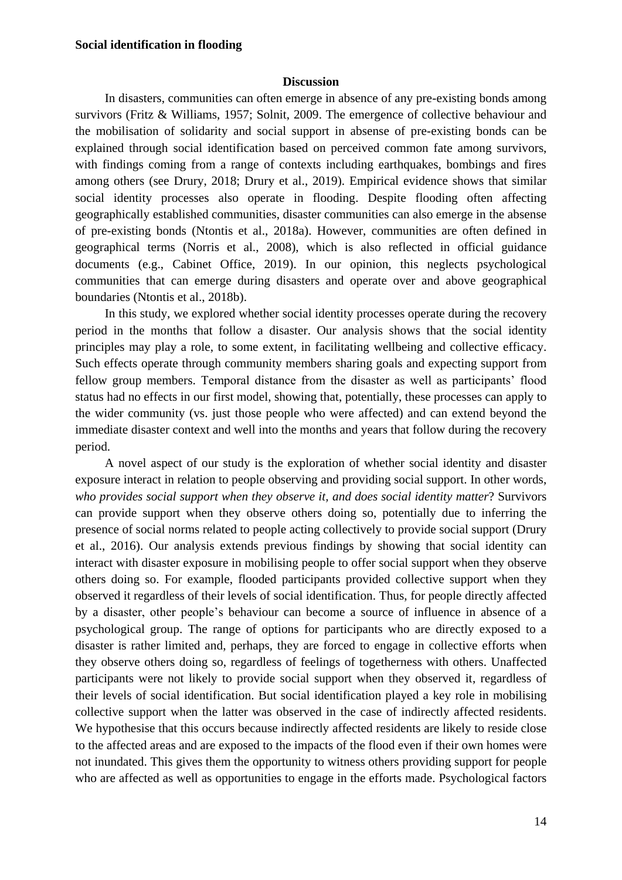#### **Discussion**

In disasters, communities can often emerge in absence of any pre-existing bonds among survivors (Fritz & Williams, 1957; Solnit, 2009. The emergence of collective behaviour and the mobilisation of solidarity and social support in absense of pre-existing bonds can be explained through social identification based on perceived common fate among survivors, with findings coming from a range of contexts including earthquakes, bombings and fires among others (see Drury, 2018; Drury et al., 2019). Empirical evidence shows that similar social identity processes also operate in flooding. Despite flooding often affecting geographically established communities, disaster communities can also emerge in the absense of pre-existing bonds (Ntontis et al., 2018a). However, communities are often defined in geographical terms (Norris et al., 2008), which is also reflected in official guidance documents (e.g., Cabinet Office, 2019). In our opinion, this neglects psychological communities that can emerge during disasters and operate over and above geographical boundaries (Ntontis et al., 2018b).

In this study, we explored whether social identity processes operate during the recovery period in the months that follow a disaster. Our analysis shows that the social identity principles may play a role, to some extent, in facilitating wellbeing and collective efficacy. Such effects operate through community members sharing goals and expecting support from fellow group members. Temporal distance from the disaster as well as participants' flood status had no effects in our first model, showing that, potentially, these processes can apply to the wider community (vs. just those people who were affected) and can extend beyond the immediate disaster context and well into the months and years that follow during the recovery period.

A novel aspect of our study is the exploration of whether social identity and disaster exposure interact in relation to people observing and providing social support. In other words, *who provides social support when they observe it, and does social identity matter*? Survivors can provide support when they observe others doing so, potentially due to inferring the presence of social norms related to people acting collectively to provide social support (Drury et al., 2016). Our analysis extends previous findings by showing that social identity can interact with disaster exposure in mobilising people to offer social support when they observe others doing so. For example, flooded participants provided collective support when they observed it regardless of their levels of social identification. Thus, for people directly affected by a disaster, other people's behaviour can become a source of influence in absence of a psychological group. The range of options for participants who are directly exposed to a disaster is rather limited and, perhaps, they are forced to engage in collective efforts when they observe others doing so, regardless of feelings of togetherness with others. Unaffected participants were not likely to provide social support when they observed it, regardless of their levels of social identification. But social identification played a key role in mobilising collective support when the latter was observed in the case of indirectly affected residents. We hypothesise that this occurs because indirectly affected residents are likely to reside close to the affected areas and are exposed to the impacts of the flood even if their own homes were not inundated. This gives them the opportunity to witness others providing support for people who are affected as well as opportunities to engage in the efforts made. Psychological factors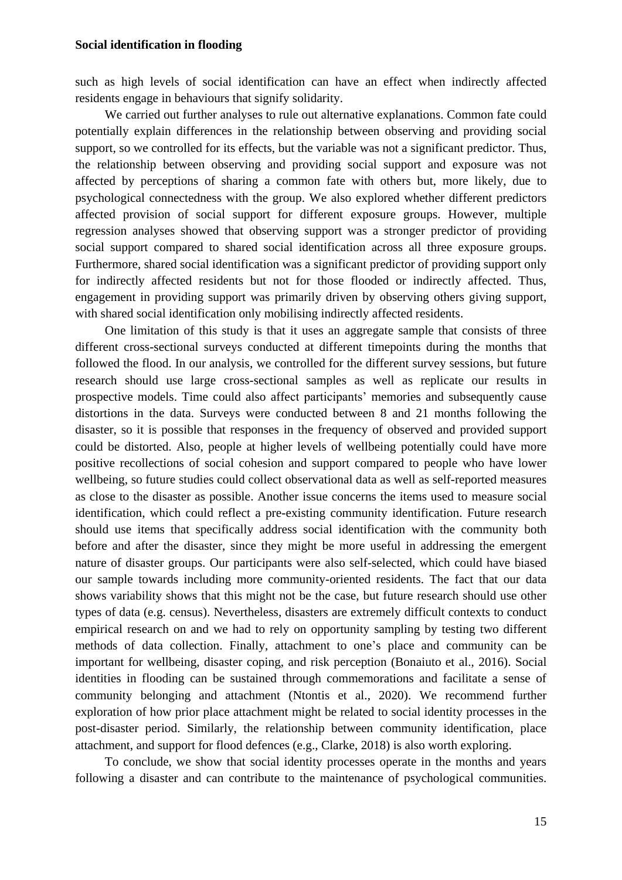such as high levels of social identification can have an effect when indirectly affected residents engage in behaviours that signify solidarity.

We carried out further analyses to rule out alternative explanations. Common fate could potentially explain differences in the relationship between observing and providing social support, so we controlled for its effects, but the variable was not a significant predictor. Thus, the relationship between observing and providing social support and exposure was not affected by perceptions of sharing a common fate with others but, more likely, due to psychological connectedness with the group. We also explored whether different predictors affected provision of social support for different exposure groups. However, multiple regression analyses showed that observing support was a stronger predictor of providing social support compared to shared social identification across all three exposure groups. Furthermore, shared social identification was a significant predictor of providing support only for indirectly affected residents but not for those flooded or indirectly affected. Thus, engagement in providing support was primarily driven by observing others giving support, with shared social identification only mobilising indirectly affected residents.

One limitation of this study is that it uses an aggregate sample that consists of three different cross-sectional surveys conducted at different timepoints during the months that followed the flood. In our analysis, we controlled for the different survey sessions, but future research should use large cross-sectional samples as well as replicate our results in prospective models. Time could also affect participants' memories and subsequently cause distortions in the data. Surveys were conducted between 8 and 21 months following the disaster, so it is possible that responses in the frequency of observed and provided support could be distorted. Also, people at higher levels of wellbeing potentially could have more positive recollections of social cohesion and support compared to people who have lower wellbeing, so future studies could collect observational data as well as self-reported measures as close to the disaster as possible. Another issue concerns the items used to measure social identification, which could reflect a pre-existing community identification. Future research should use items that specifically address social identification with the community both before and after the disaster, since they might be more useful in addressing the emergent nature of disaster groups. Our participants were also self-selected, which could have biased our sample towards including more community-oriented residents. The fact that our data shows variability shows that this might not be the case, but future research should use other types of data (e.g. census). Nevertheless, disasters are extremely difficult contexts to conduct empirical research on and we had to rely on opportunity sampling by testing two different methods of data collection. Finally, attachment to one's place and community can be important for wellbeing, disaster coping, and risk perception (Bonaiuto et al., 2016). Social identities in flooding can be sustained through commemorations and facilitate a sense of community belonging and attachment (Ntontis et al., 2020). We recommend further exploration of how prior place attachment might be related to social identity processes in the post-disaster period. Similarly, the relationship between community identification, place attachment, and support for flood defences (e.g., Clarke, 2018) is also worth exploring.

To conclude, we show that social identity processes operate in the months and years following a disaster and can contribute to the maintenance of psychological communities.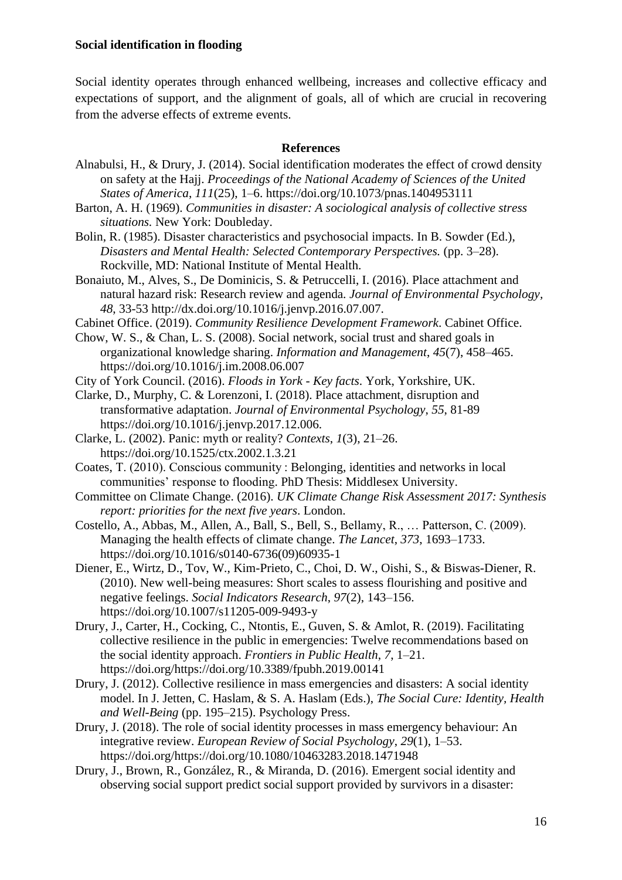Social identity operates through enhanced wellbeing, increases and collective efficacy and expectations of support, and the alignment of goals, all of which are crucial in recovering from the adverse effects of extreme events.

## **References**

- Alnabulsi, H., & Drury, J. (2014). Social identification moderates the effect of crowd density on safety at the Hajj. *Proceedings of the National Academy of Sciences of the United States of America*, *111*(25), 1–6. https://doi.org/10.1073/pnas.1404953111
- Barton, A. H. (1969). *Communities in disaster: A sociological analysis of collective stress situations.* New York: Doubleday.
- Bolin, R. (1985). Disaster characteristics and psychosocial impacts. In B. Sowder (Ed.), *Disasters and Mental Health: Selected Contemporary Perspectives.* (pp. 3–28). Rockville, MD: National Institute of Mental Health.
- Bonaiuto, M., Alves, S., De Dominicis, S. & Petruccelli, I. (2016). Place attachment and natural hazard risk: Research review and agenda*. Journal of Environmental Psychology, 48*, 33-53 http://dx.doi.org/10.1016/j.jenvp.2016.07.007.

Cabinet Office. (2019). *Community Resilience Development Framework*. Cabinet Office.

- Chow, W. S., & Chan, L. S. (2008). Social network, social trust and shared goals in organizational knowledge sharing. *Information and Management*, *45*(7), 458–465. https://doi.org/10.1016/j.im.2008.06.007
- City of York Council. (2016). *Floods in York - Key facts*. York, Yorkshire, UK.
- Clarke, D., Murphy, C. & Lorenzoni, I. (2018). Place attachment, disruption and transformative adaptation. *Journal of Environmental Psychology*, *55*, 81-89 https://doi.org/10.1016/j.jenvp.2017.12.006.
- Clarke, L. (2002). Panic: myth or reality? *Contexts*, *1*(3), 21–26. https://doi.org/10.1525/ctx.2002.1.3.21
- Coates, T. (2010). Conscious community : Belonging, identities and networks in local communities' response to flooding. PhD Thesis: Middlesex University.
- Committee on Climate Change. (2016). *UK Climate Change Risk Assessment 2017: Synthesis report: priorities for the next five years*. London.
- Costello, A., Abbas, M., Allen, A., Ball, S., Bell, S., Bellamy, R., … Patterson, C. (2009). Managing the health effects of climate change. *The Lancet*, *373*, 1693–1733. https://doi.org/10.1016/s0140-6736(09)60935-1
- Diener, E., Wirtz, D., Tov, W., Kim-Prieto, C., Choi, D. W., Oishi, S., & Biswas-Diener, R. (2010). New well-being measures: Short scales to assess flourishing and positive and negative feelings. *Social Indicators Research*, *97*(2), 143–156. https://doi.org/10.1007/s11205-009-9493-y
- Drury, J., Carter, H., Cocking, C., Ntontis, E., Guven, S. & Amlot, R. (2019). Facilitating collective resilience in the public in emergencies: Twelve recommendations based on the social identity approach. *Frontiers in Public Health*, *7*, 1–21. https://doi.org/https://doi.org/10.3389/fpubh.2019.00141
- Drury, J. (2012). Collective resilience in mass emergencies and disasters: A social identity model. In J. Jetten, C. Haslam, & S. A. Haslam (Eds.), *The Social Cure: Identity, Health and Well-Being* (pp. 195–215). Psychology Press.
- Drury, J. (2018). The role of social identity processes in mass emergency behaviour: An integrative review. *European Review of Social Psychology*, *29*(1), 1–53. https://doi.org/https://doi.org/10.1080/10463283.2018.1471948
- Drury, J., Brown, R., González, R., & Miranda, D. (2016). Emergent social identity and observing social support predict social support provided by survivors in a disaster: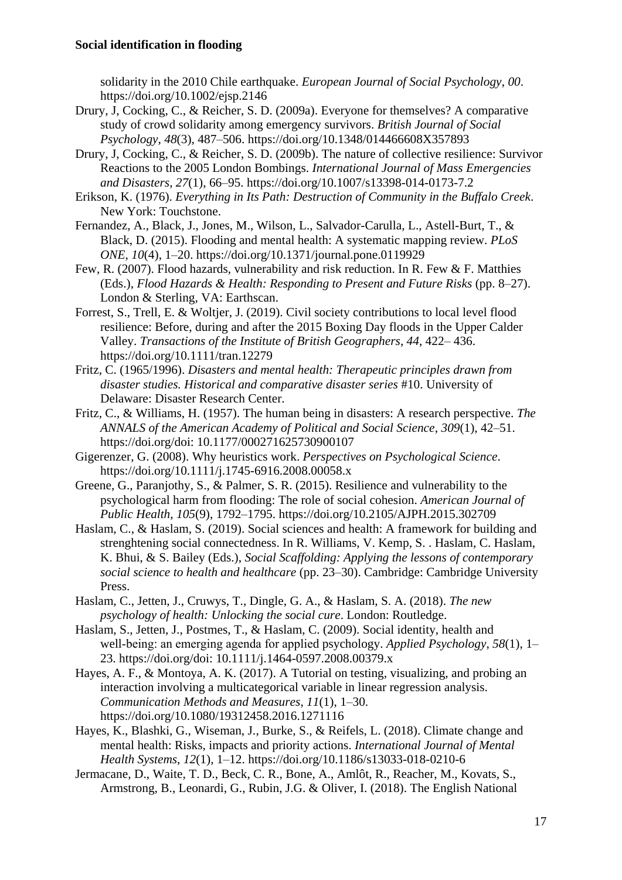solidarity in the 2010 Chile earthquake. *European Journal of Social Psychology*, *00*. https://doi.org/10.1002/ejsp.2146

- Drury, J, Cocking, C., & Reicher, S. D. (2009a). Everyone for themselves? A comparative study of crowd solidarity among emergency survivors. *British Journal of Social Psychology*, *48*(3), 487–506. https://doi.org/10.1348/014466608X357893
- Drury, J, Cocking, C., & Reicher, S. D. (2009b). The nature of collective resilience: Survivor Reactions to the 2005 London Bombings. *International Journal of Mass Emergencies and Disasters*, *27*(1), 66–95. https://doi.org/10.1007/s13398-014-0173-7.2
- Erikson, K. (1976). *Everything in Its Path: Destruction of Community in the Buffalo Creek*. New York: Touchstone.
- Fernandez, A., Black, J., Jones, M., Wilson, L., Salvador-Carulla, L., Astell-Burt, T., & Black, D. (2015). Flooding and mental health: A systematic mapping review. *PLoS ONE*, *10*(4), 1–20. https://doi.org/10.1371/journal.pone.0119929
- Few, R. (2007). Flood hazards, vulnerability and risk reduction. In R. Few & F. Matthies (Eds.), *Flood Hazards & Health: Responding to Present and Future Risks* (pp. 8–27). London & Sterling, VA: Earthscan.
- Forrest, S., Trell, E. & Woltjer, J. (2019). Civil society contributions to local level flood resilience: Before, during and after the 2015 Boxing Day floods in the Upper Calder Valley. *Transactions of the Institute of British Geographers*, *44*, 422– 436. https://doi.org/10.1111/tran.12279
- Fritz, C. (1965/1996). *Disasters and mental health: Therapeutic principles drawn from disaster studies. Historical and comparative disaster series* #10. University of Delaware: Disaster Research Center.
- Fritz, C., & Williams, H. (1957). The human being in disasters: A research perspective. *The ANNALS of the American Academy of Political and Social Science*, *309*(1), 42–51. https://doi.org/doi: 10.1177/000271625730900107
- Gigerenzer, G. (2008). Why heuristics work. *Perspectives on Psychological Science*. https://doi.org/10.1111/j.1745-6916.2008.00058.x
- Greene, G., Paranjothy, S., & Palmer, S. R. (2015). Resilience and vulnerability to the psychological harm from flooding: The role of social cohesion. *American Journal of Public Health*, *105*(9), 1792–1795. https://doi.org/10.2105/AJPH.2015.302709
- Haslam, C., & Haslam, S. (2019). Social sciences and health: A framework for building and strenghtening social connectedness. In R. Williams, V. Kemp, S. . Haslam, C. Haslam, K. Bhui, & S. Bailey (Eds.), *Social Scaffolding: Applying the lessons of contemporary social science to health and healthcare* (pp. 23–30). Cambridge: Cambridge University Press.
- Haslam, C., Jetten, J., Cruwys, T., Dingle, G. A., & Haslam, S. A. (2018). *The new psychology of health: Unlocking the social cure*. London: Routledge.
- Haslam, S., Jetten, J., Postmes, T., & Haslam, C. (2009). Social identity, health and well-being: an emerging agenda for applied psychology. *Applied Psychology*, 58(1), 1– 23. https://doi.org/doi: 10.1111/j.1464-0597.2008.00379.x
- Hayes, A. F., & Montoya, A. K. (2017). A Tutorial on testing, visualizing, and probing an interaction involving a multicategorical variable in linear regression analysis. *Communication Methods and Measures*, *11*(1), 1–30. https://doi.org/10.1080/19312458.2016.1271116
- Hayes, K., Blashki, G., Wiseman, J., Burke, S., & Reifels, L. (2018). Climate change and mental health: Risks, impacts and priority actions. *International Journal of Mental Health Systems*, *12*(1), 1–12. https://doi.org/10.1186/s13033-018-0210-6
- Jermacane, D., Waite, T. D., Beck, C. R., Bone, A., Amlôt, R., Reacher, M., Kovats, S., Armstrong, B., Leonardi, G., Rubin, J.G. & Oliver, I. (2018). The English National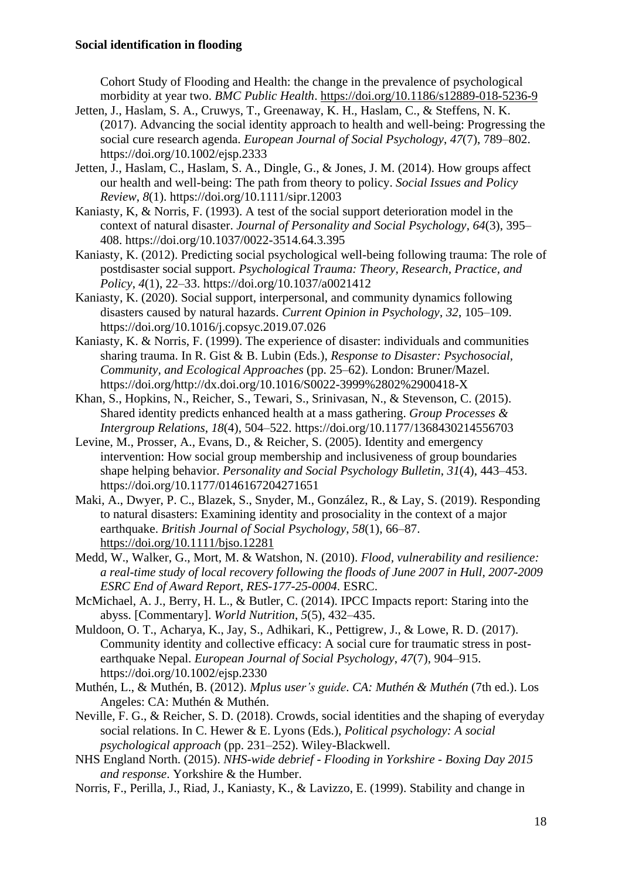Cohort Study of Flooding and Health: the change in the prevalence of psychological morbidity at year two. *BMC Public Health*. <https://doi.org/10.1186/s12889-018-5236-9>

- Jetten, J., Haslam, S. A., Cruwys, T., Greenaway, K. H., Haslam, C., & Steffens, N. K. (2017). Advancing the social identity approach to health and well-being: Progressing the social cure research agenda. *European Journal of Social Psychology*, *47*(7), 789–802. https://doi.org/10.1002/ejsp.2333
- Jetten, J., Haslam, C., Haslam, S. A., Dingle, G., & Jones, J. M. (2014). How groups affect our health and well-being: The path from theory to policy. *Social Issues and Policy Review*, *8*(1). https://doi.org/10.1111/sipr.12003
- Kaniasty, K, & Norris, F. (1993). A test of the social support deterioration model in the context of natural disaster. *Journal of Personality and Social Psychology*, *64*(3), 395– 408. https://doi.org/10.1037/0022-3514.64.3.395
- Kaniasty, K. (2012). Predicting social psychological well-being following trauma: The role of postdisaster social support. *Psychological Trauma: Theory, Research, Practice, and Policy*, *4*(1), 22–33. https://doi.org/10.1037/a0021412
- Kaniasty, K. (2020). Social support, interpersonal, and community dynamics following disasters caused by natural hazards. *Current Opinion in Psychology*, *32*, 105–109. https://doi.org/10.1016/j.copsyc.2019.07.026
- Kaniasty, K. & Norris, F. (1999). The experience of disaster: individuals and communities sharing trauma. In R. Gist & B. Lubin (Eds.), *Response to Disaster: Psychosocial, Community, and Ecological Approaches* (pp. 25–62). London: Bruner/Mazel. https://doi.org/http://dx.doi.org/10.1016/S0022-3999%2802%2900418-X
- Khan, S., Hopkins, N., Reicher, S., Tewari, S., Srinivasan, N., & Stevenson, C. (2015). Shared identity predicts enhanced health at a mass gathering. *Group Processes & Intergroup Relations*, *18*(4), 504–522. https://doi.org/10.1177/1368430214556703
- Levine, M., Prosser, A., Evans, D., & Reicher, S. (2005). Identity and emergency intervention: How social group membership and inclusiveness of group boundaries shape helping behavior. *Personality and Social Psychology Bulletin*, *31*(4), 443–453. https://doi.org/10.1177/0146167204271651
- Maki, A., Dwyer, P. C., Blazek, S., Snyder, M., González, R., & Lay, S. (2019). Responding to natural disasters: Examining identity and prosociality in the context of a major earthquake. *British Journal of Social Psychology*, *58*(1), 66–87. <https://doi.org/10.1111/bjso.12281>
- Medd, W., Walker, G., Mort, M. & Watshon, N. (2010). *Flood, vulnerability and resilience: a real-time study of local recovery following the floods of June 2007 in Hull, 2007-2009 ESRC End of Award Report, RES-177-25-0004*. ESRC.
- McMichael, A. J., Berry, H. L., & Butler, C. (2014). IPCC Impacts report: Staring into the abyss. [Commentary]. *World Nutrition*, *5*(5), 432–435.
- Muldoon, O. T., Acharya, K., Jay, S., Adhikari, K., Pettigrew, J., & Lowe, R. D. (2017). Community identity and collective efficacy: A social cure for traumatic stress in postearthquake Nepal. *European Journal of Social Psychology*, *47*(7), 904–915. https://doi.org/10.1002/ejsp.2330
- Muthén, L., & Muthén, B. (2012). *Mplus user's guide*. *CA: Muthén & Muthén* (7th ed.). Los Angeles: CA: Muthén & Muthén.
- Neville, F. G., & Reicher, S. D. (2018). Crowds, social identities and the shaping of everyday social relations. In C. Hewer & E. Lyons (Eds.), *Political psychology: A social psychological approach* (pp. 231–252). Wiley-Blackwell.
- NHS England North. (2015). *NHS-wide debrief - Flooding in Yorkshire - Boxing Day 2015 and response*. Yorkshire & the Humber.
- Norris, F., Perilla, J., Riad, J., Kaniasty, K., & Lavizzo, E. (1999). Stability and change in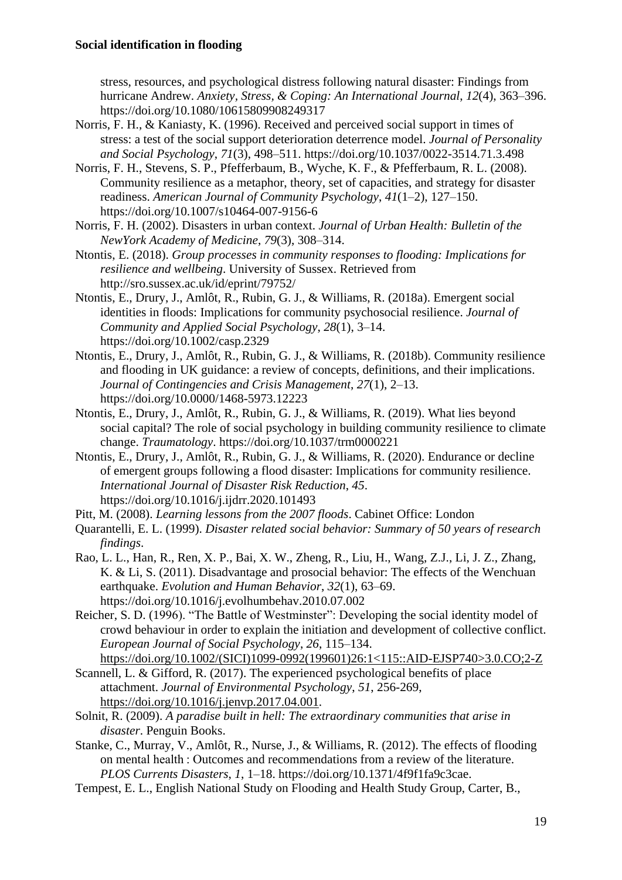stress, resources, and psychological distress following natural disaster: Findings from hurricane Andrew. *Anxiety, Stress, & Coping: An International Journal*, *12*(4), 363–396. https://doi.org/10.1080/10615809908249317

- Norris, F. H., & Kaniasty, K. (1996). Received and perceived social support in times of stress: a test of the social support deterioration deterrence model. *Journal of Personality and Social Psychology*, *71*(3), 498–511. https://doi.org/10.1037/0022-3514.71.3.498
- Norris, F. H., Stevens, S. P., Pfefferbaum, B., Wyche, K. F., & Pfefferbaum, R. L. (2008). Community resilience as a metaphor, theory, set of capacities, and strategy for disaster readiness. *American Journal of Community Psychology*, *41*(1–2), 127–150. https://doi.org/10.1007/s10464-007-9156-6
- Norris, F. H. (2002). Disasters in urban context. *Journal of Urban Health: Bulletin of the NewYork Academy of Medicine*, *79*(3), 308–314.
- Ntontis, E. (2018). *Group processes in community responses to flooding: Implications for resilience and wellbeing*. University of Sussex. Retrieved from http://sro.sussex.ac.uk/id/eprint/79752/
- Ntontis, E., Drury, J., Amlôt, R., Rubin, G. J., & Williams, R. (2018a). Emergent social identities in floods: Implications for community psychosocial resilience. *Journal of Community and Applied Social Psychology*, *28*(1), 3–14. https://doi.org/10.1002/casp.2329
- Ntontis, E., Drury, J., Amlôt, R., Rubin, G. J., & Williams, R. (2018b). Community resilience and flooding in UK guidance: a review of concepts, definitions, and their implications. *Journal of Contingencies and Crisis Management*, *27*(1), 2–13. https://doi.org/10.0000/1468-5973.12223
- Ntontis, E., Drury, J., Amlôt, R., Rubin, G. J., & Williams, R. (2019). What lies beyond social capital? The role of social psychology in building community resilience to climate change. *Traumatology*. https://doi.org/10.1037/trm0000221
- Ntontis, E., Drury, J., Amlôt, R., Rubin, G. J., & Williams, R. (2020). Endurance or decline of emergent groups following a flood disaster: Implications for community resilience. *International Journal of Disaster Risk Reduction*, *45*. https://doi.org/10.1016/j.ijdrr.2020.101493

Pitt, M. (2008). *Learning lessons from the 2007 floods*. Cabinet Office: London

- Quarantelli, E. L. (1999). *Disaster related social behavior: Summary of 50 years of research findings*.
- Rao, L. L., Han, R., Ren, X. P., Bai, X. W., Zheng, R., Liu, H., Wang, Z.J., Li, J. Z., Zhang, K. & Li, S. (2011). Disadvantage and prosocial behavior: The effects of the Wenchuan earthquake. *Evolution and Human Behavior*, *32*(1), 63–69. https://doi.org/10.1016/j.evolhumbehav.2010.07.002
- Reicher, S. D. (1996). "The Battle of Westminster": Developing the social identity model of crowd behaviour in order to explain the initiation and development of collective conflict. *European Journal of Social Psychology*, *26*, 115–134.
- [https://doi.org/10.1002/\(SICI\)1099-0992\(199601\)26:1<115::AID-EJSP740>3.0.CO;2-Z](https://doi.org/10.1002/(SICI)1099-0992(199601)26:1%3c115::AID-EJSP740%3e3.0.CO;2-Z) Scannell, L. & Gifford, R. (2017). The experienced psychological benefits of place attachment. *Journal of Environmental Psychology*, *51*, 256-269, [https://doi.org/10.1016/j.jenvp.2017.04.001.](https://doi.org/10.1016/j.jenvp.2017.04.001)
- Solnit, R. (2009). *A paradise built in hell: The extraordinary communities that arise in disaster*. Penguin Books.
- Stanke, C., Murray, V., Amlôt, R., Nurse, J., & Williams, R. (2012). The effects of flooding on mental health : Outcomes and recommendations from a review of the literature. *PLOS Currents Disasters*, *1*, 1–18. https://doi.org/10.1371/4f9f1fa9c3cae.
- Tempest, E. L., English National Study on Flooding and Health Study Group, Carter, B.,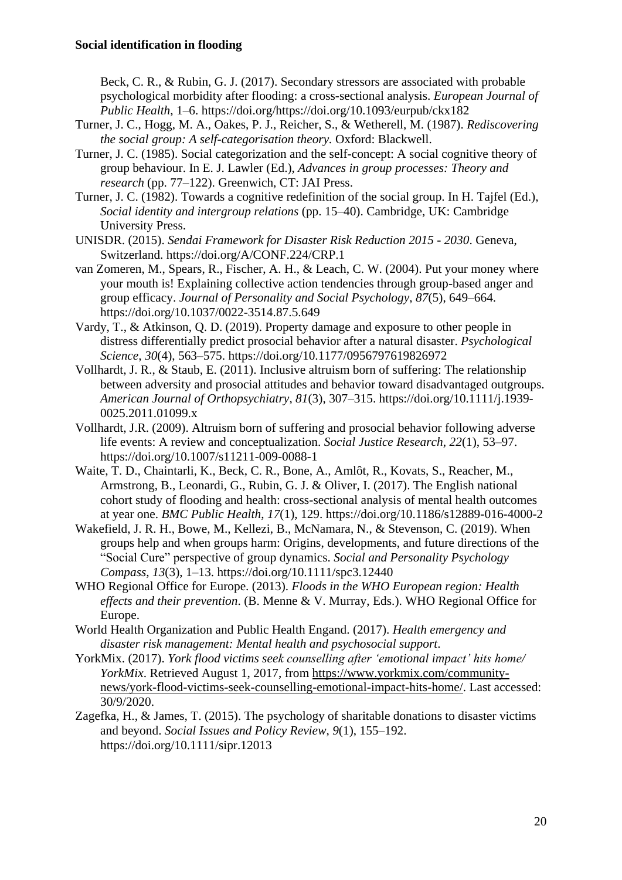Beck, C. R., & Rubin, G. J. (2017). Secondary stressors are associated with probable psychological morbidity after flooding: a cross-sectional analysis. *European Journal of Public Health*, 1–6. https://doi.org/https://doi.org/10.1093/eurpub/ckx182

- Turner, J. C., Hogg, M. A., Oakes, P. J., Reicher, S., & Wetherell, M. (1987). *Rediscovering the social group: A self-categorisation theory.* Oxford: Blackwell.
- Turner, J. C. (1985). Social categorization and the self-concept: A social cognitive theory of group behaviour. In E. J. Lawler (Ed.), *Advances in group processes: Theory and research* (pp. 77–122). Greenwich, CT: JAI Press.
- Turner, J. C. (1982). Towards a cognitive redefinition of the social group. In H. Tajfel (Ed.), *Social identity and intergroup relations* (pp. 15–40). Cambridge, UK: Cambridge University Press.
- UNISDR. (2015). *Sendai Framework for Disaster Risk Reduction 2015 - 2030*. Geneva, Switzerland. https://doi.org/A/CONF.224/CRP.1
- van Zomeren, M., Spears, R., Fischer, A. H., & Leach, C. W. (2004). Put your money where your mouth is! Explaining collective action tendencies through group-based anger and group efficacy. *Journal of Personality and Social Psychology*, *87*(5), 649–664. https://doi.org/10.1037/0022-3514.87.5.649
- Vardy, T., & Atkinson, Q. D. (2019). Property damage and exposure to other people in distress differentially predict prosocial behavior after a natural disaster. *Psychological Science*, *30*(4), 563–575. https://doi.org/10.1177/0956797619826972
- Vollhardt, J. R., & Staub, E. (2011). Inclusive altruism born of suffering: The relationship between adversity and prosocial attitudes and behavior toward disadvantaged outgroups. *American Journal of Orthopsychiatry*, *81*(3), 307–315. https://doi.org/10.1111/j.1939- 0025.2011.01099.x
- Vollhardt, J.R. (2009). Altruism born of suffering and prosocial behavior following adverse life events: A review and conceptualization. *Social Justice Research*, *22*(1), 53–97. https://doi.org/10.1007/s11211-009-0088-1
- Waite, T. D., Chaintarli, K., Beck, C. R., Bone, A., Amlôt, R., Kovats, S., Reacher, M., Armstrong, B., Leonardi, G., Rubin, G. J. & Oliver, I. (2017). The English national cohort study of flooding and health: cross-sectional analysis of mental health outcomes at year one. *BMC Public Health*, *17*(1), 129. https://doi.org/10.1186/s12889-016-4000-2
- Wakefield, J. R. H., Bowe, M., Kellezi, B., McNamara, N., & Stevenson, C. (2019). When groups help and when groups harm: Origins, developments, and future directions of the "Social Cure" perspective of group dynamics. *Social and Personality Psychology Compass*, *13*(3), 1–13. https://doi.org/10.1111/spc3.12440
- WHO Regional Office for Europe. (2013). *Floods in the WHO European region: Health effects and their prevention*. (B. Menne & V. Murray, Eds.). WHO Regional Office for Europe.
- World Health Organization and Public Health Engand. (2017). *Health emergency and disaster risk management: Mental health and psychosocial support*.
- YorkMix. (2017). *York flood victims seek counselling after 'emotional impact' hits home/ YorkMix*. Retrieved August 1, 2017, from [https://www.yorkmix.com/community](https://www.yorkmix.com/community-news/york-flood-victims-seek-counselling-emotional-impact-hits-home/)[news/york-flood-victims-seek-counselling-emotional-impact-hits-home/.](https://www.yorkmix.com/community-news/york-flood-victims-seek-counselling-emotional-impact-hits-home/) Last accessed: 30/9/2020.
- Zagefka, H., & James, T. (2015). The psychology of sharitable donations to disaster victims and beyond. *Social Issues and Policy Review*, *9*(1), 155–192. https://doi.org/10.1111/sipr.12013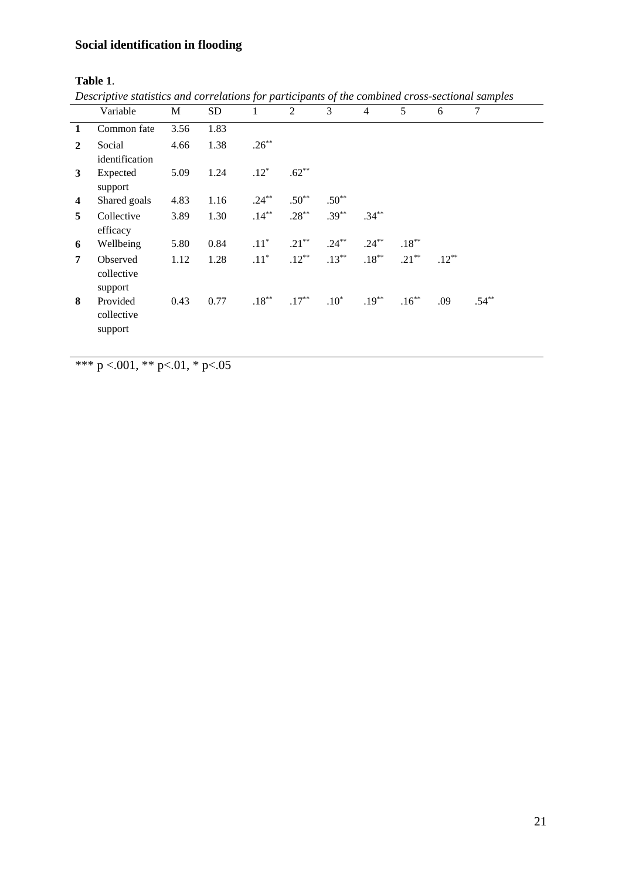# **Table 1**.

| Descriptive statistics and correlations for participants of the combined cross-sectional samples |  |  |  |  |  |  |
|--------------------------------------------------------------------------------------------------|--|--|--|--|--|--|
|--------------------------------------------------------------------------------------------------|--|--|--|--|--|--|

|              | Variable                          | M    | SD.  |          | $\overline{2}$ | 3        | $\overline{4}$ | 5        | 6        | 7        |
|--------------|-----------------------------------|------|------|----------|----------------|----------|----------------|----------|----------|----------|
| 1            | Common fate                       | 3.56 | 1.83 |          |                |          |                |          |          |          |
| $\mathbf{2}$ | Social<br>identification          | 4.66 | 1.38 | $.26***$ |                |          |                |          |          |          |
| 3            | Expected<br>support               | 5.09 | 1.24 | $.12*$   | $.62***$       |          |                |          |          |          |
| 4            | Shared goals                      | 4.83 | 1.16 | $.24***$ | $.50**$        | $.50**$  |                |          |          |          |
| 5            | Collective<br>efficacy            | 3.89 | 1.30 | $.14***$ | $.28***$       | $.39***$ | $.34***$       |          |          |          |
| 6            | Wellbeing                         | 5.80 | 0.84 | $.11^*$  | $.21***$       | $.24***$ | $.24***$       | $.18***$ |          |          |
| 7            | Observed<br>collective<br>support | 1.12 | 1.28 | $.11*$   | $.12***$       | $.13***$ | $.18***$       | $.21***$ | $.12***$ |          |
| 8            | Provided<br>collective<br>support | 0.43 | 0.77 | $.18***$ | $.17***$       | $.10*$   | $.19***$       | $.16***$ | .09      | $.54***$ |

\*\*\* p <.001, \*\* p <.01, \* p <.05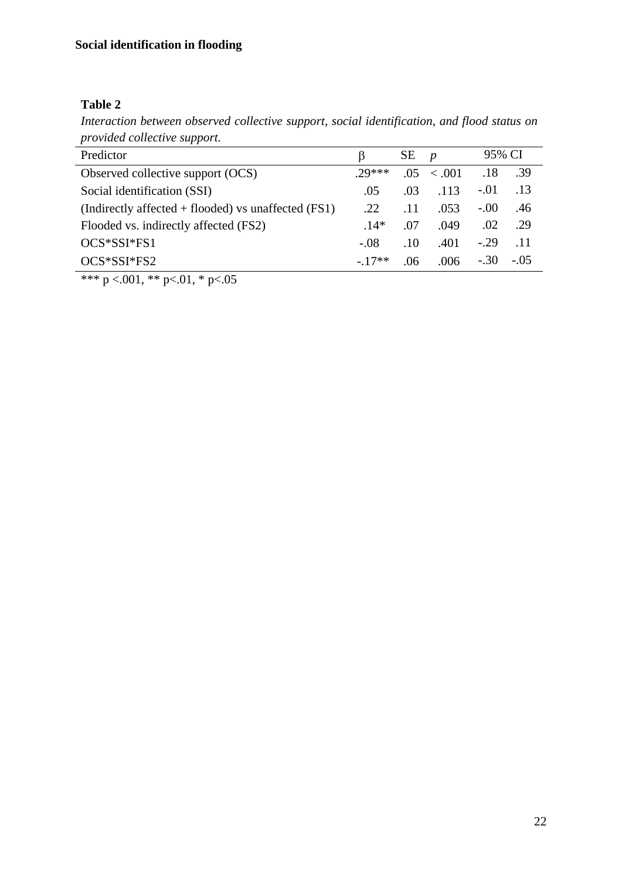# **Table 2**

*Interaction between observed collective support, social identification, and flood status on provided collective support.*

| provided conecuve support.                            |         |     |                  |         |        |
|-------------------------------------------------------|---------|-----|------------------|---------|--------|
| Predictor                                             |         | SЕ  | $\boldsymbol{p}$ | 95% CI  |        |
| Observed collective support (OCS)                     | $29***$ | .05 | $\leq 0.01$      | .18     | -39    |
| Social identification (SSI)                           | .05     | .03 | .113             | $-.01$  | .13    |
| (Indirectly affected $+$ flooded) vs unaffected (FS1) | .22     | .11 | .053             | $-.00.$ | .46    |
| Flooded vs. indirectly affected (FS2)                 | $.14*$  | .07 | .049             | .02     | .29    |
| OCS*SSI*FS1                                           | $-.08$  | .10 | .401             | $-.29$  | .11    |
| OCS*SSI*FS2                                           | $-17**$ | .06 | .006             | $-.30$  | $-.05$ |
|                                                       |         |     |                  |         |        |

\*\*\* p <.001, \*\* p <.01, \* p <.05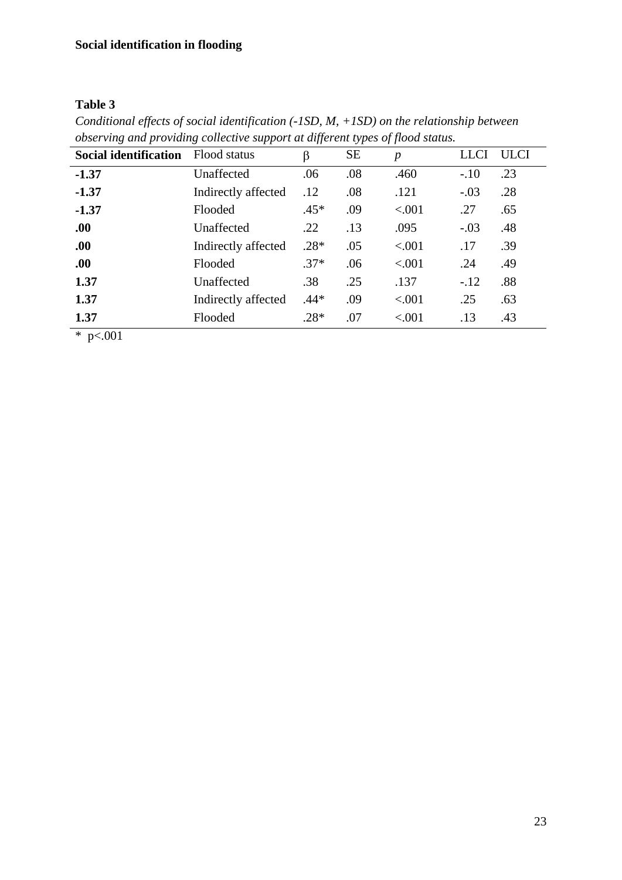# **Table 3**

| <b>Social identification</b> | Flood status        | β      | <b>SE</b> | $\boldsymbol{p}$ | <b>LLCI</b> | <b>ULCI</b> |
|------------------------------|---------------------|--------|-----------|------------------|-------------|-------------|
| $-1.37$                      | Unaffected          | .06    | .08       | .460             | $-.10$      | .23         |
| $-1.37$                      | Indirectly affected | .12    | .08       | .121             | $-.03$      | .28         |
| $-1.37$                      | Flooded             | $.45*$ | .09       | < .001           | .27         | .65         |
| .00.                         | Unaffected          | .22    | .13       | .095             | $-.03$      | .48         |
| .00.                         | Indirectly affected | $.28*$ | .05       | < .001           | .17         | .39         |
| .00.                         | Flooded             | $.37*$ | .06       | < .001           | .24         | .49         |
| 1.37                         | Unaffected          | .38    | .25       | .137             | $-.12$      | .88         |
| 1.37                         | Indirectly affected | $.44*$ | .09       | < .001           | .25         | .63         |
| 1.37                         | Flooded             | $.28*$ | .07       | ${<}001$         | .13         | .43         |

*Conditional effects of social identification (-1SD, M, +1SD) on the relationship between observing and providing collective support at different types of flood status.*

 $*$  p<.001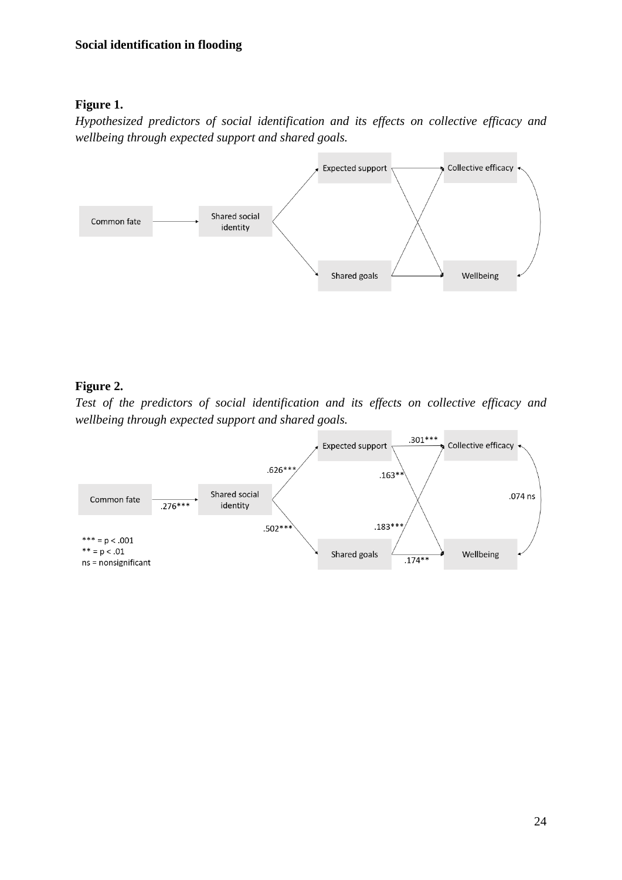# **Figure 1.**

*Hypothesized predictors of social identification and its effects on collective efficacy and wellbeing through expected support and shared goals.*



# **Figure 2.**

*Test of the predictors of social identification and its effects on collective efficacy and wellbeing through expected support and shared goals.*